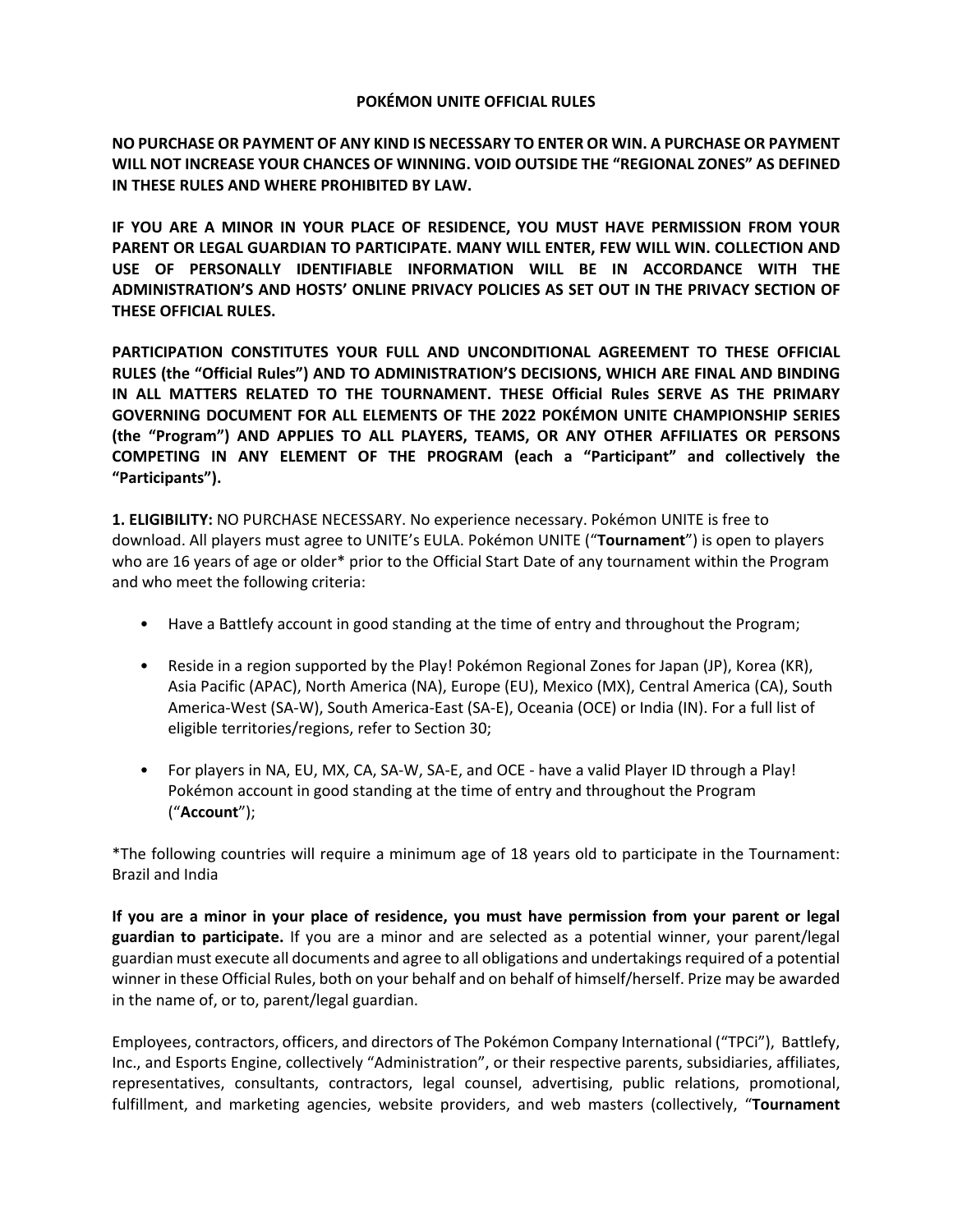#### **POKÉMON UNITE OFFICIAL RULES**

**NO PURCHASE OR PAYMENT OF ANY KIND IS NECESSARY TO ENTER OR WIN. A PURCHASE OR PAYMENT WILL NOT INCREASE YOUR CHANCES OF WINNING. VOID OUTSIDE THE "REGIONAL ZONES" AS DEFINED IN THESE RULES AND WHERE PROHIBITED BY LAW.** 

**IF YOU ARE A MINOR IN YOUR PLACE OF RESIDENCE, YOU MUST HAVE PERMISSION FROM YOUR PARENT OR LEGAL GUARDIAN TO PARTICIPATE. MANY WILL ENTER, FEW WILL WIN. COLLECTION AND USE OF PERSONALLY IDENTIFIABLE INFORMATION WILL BE IN ACCORDANCE WITH THE ADMINISTRATION'S AND HOSTS' ONLINE PRIVACY POLICIES AS SET OUT IN THE PRIVACY SECTION OF THESE OFFICIAL RULES.** 

**PARTICIPATION CONSTITUTES YOUR FULL AND UNCONDITIONAL AGREEMENT TO THESE OFFICIAL RULES (the "Official Rules") AND TO ADMINISTRATION'S DECISIONS, WHICH ARE FINAL AND BINDING IN ALL MATTERS RELATED TO THE TOURNAMENT. THESE Official Rules SERVE AS THE PRIMARY GOVERNING DOCUMENT FOR ALL ELEMENTS OF THE 2022 POKÉMON UNITE CHAMPIONSHIP SERIES (the "Program") AND APPLIES TO ALL PLAYERS, TEAMS, OR ANY OTHER AFFILIATES OR PERSONS COMPETING IN ANY ELEMENT OF THE PROGRAM (each a "Participant" and collectively the "Participants").** 

**1. ELIGIBILITY:** NO PURCHASE NECESSARY. No experience necessary. Pokémon UNITE is free to download. All players must agree to UNITE's EULA. Pokémon UNITE ("**Tournament**") is open to players who are 16 years of age or older\* prior to the Official Start Date of any tournament within the Program and who meet the following criteria:

- Have a Battlefy account in good standing at the time of entry and throughout the Program;
- Reside in a region supported by the Play! Pokémon Regional Zones for Japan (JP), Korea (KR), Asia Pacific (APAC), North America (NA), Europe (EU), Mexico (MX), Central America (CA), South America-West (SA-W), South America-East (SA-E), Oceania (OCE) or India (IN). For a full list of eligible territories/regions, refer to Section 30;
- For players in NA, EU, MX, CA, SA-W, SA-E, and OCE have a valid Player ID through a Play! Pokémon account in good standing at the time of entry and throughout the Program ("**Account**");

\*The following countries will require a minimum age of 18 years old to participate in the Tournament: Brazil and India

**If you are a minor in your place of residence, you must have permission from your parent or legal guardian to participate.** If you are a minor and are selected as a potential winner, your parent/legal guardian must execute all documents and agree to all obligations and undertakings required of a potential winner in these Official Rules, both on your behalf and on behalf of himself/herself. Prize may be awarded in the name of, or to, parent/legal guardian.

Employees, contractors, officers, and directors of The Pokémon Company International ("TPCi"), Battlefy, Inc., and Esports Engine, collectively "Administration", or their respective parents, subsidiaries, affiliates, representatives, consultants, contractors, legal counsel, advertising, public relations, promotional, fulfillment, and marketing agencies, website providers, and web masters (collectively, "**Tournament**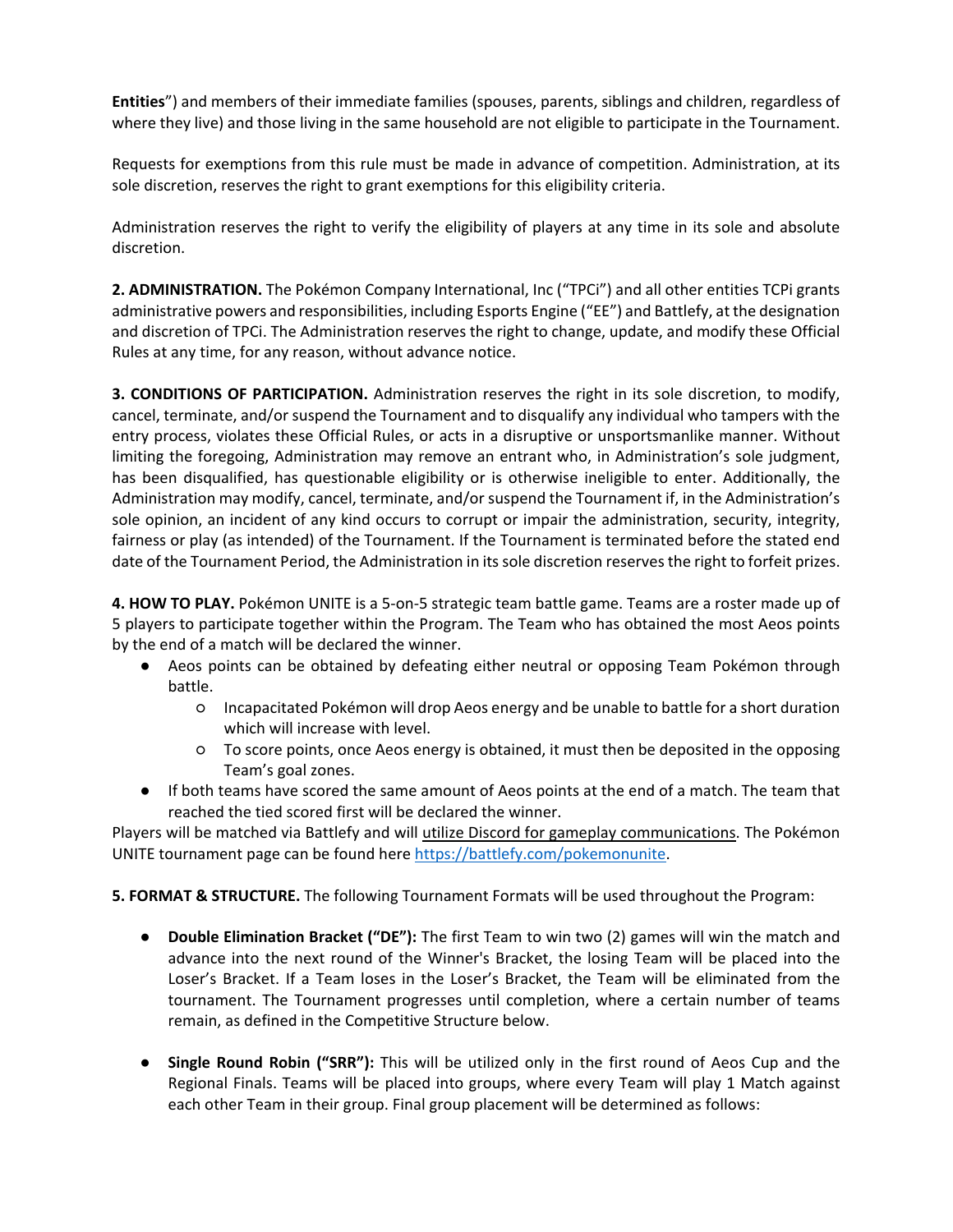**Entities**") and members of their immediate families (spouses, parents, siblings and children, regardless of where they live) and those living in the same household are not eligible to participate in the Tournament.

Requests for exemptions from this rule must be made in advance of competition. Administration, at its sole discretion, reserves the right to grant exemptions for this eligibility criteria.

Administration reserves the right to verify the eligibility of players at any time in its sole and absolute discretion.

**2. ADMINISTRATION.** The Pokémon Company International, Inc ("TPCi") and all other entities TCPi grants administrative powers and responsibilities, including Esports Engine ("EE") and Battlefy, at the designation and discretion of TPCi. The Administration reserves the right to change, update, and modify these Official Rules at any time, for any reason, without advance notice.

**3. CONDITIONS OF PARTICIPATION.** Administration reserves the right in its sole discretion, to modify, cancel, terminate, and/or suspend the Tournament and to disqualify any individual who tampers with the entry process, violates these Official Rules, or acts in a disruptive or unsportsmanlike manner. Without limiting the foregoing, Administration may remove an entrant who, in Administration's sole judgment, has been disqualified, has questionable eligibility or is otherwise ineligible to enter. Additionally, the Administration may modify, cancel, terminate, and/or suspend the Tournament if, in the Administration's sole opinion, an incident of any kind occurs to corrupt or impair the administration, security, integrity, fairness or play (as intended) of the Tournament. If the Tournament is terminated before the stated end date of the Tournament Period, the Administration in its sole discretion reserves the right to forfeit prizes.

**4. HOW TO PLAY.** Pokémon UNITE is a 5-on-5 strategic team battle game. Teams are a roster made up of 5 players to participate together within the Program. The Team who has obtained the most Aeos points by the end of a match will be declared the winner.

- Aeos points can be obtained by defeating either neutral or opposing Team Pokémon through battle.
	- Incapacitated Pokémon will drop Aeos energy and be unable to battle for a short duration which will increase with level.
	- To score points, once Aeos energy is obtained, it must then be deposited in the opposing Team's goal zones.
- If both teams have scored the same amount of Aeos points at the end of a match. The team that reached the tied scored first will be declared the winner.

Players will be matched via Battlefy and will utilize Discord for gameplay communications. The Pokémon UNITE tournament page can be found here [https://battlefy.com/pokemonunite.](https://battlefy.com/pokemonunite)

**5. FORMAT & STRUCTURE.** The following Tournament Formats will be used throughout the Program:

- **Double Elimination Bracket ("DE"):** The first Team to win two (2) games will win the match and advance into the next round of the Winner's Bracket, the losing Team will be placed into the Loser's Bracket. If a Team loses in the Loser's Bracket, the Team will be eliminated from the tournament. The Tournament progresses until completion, where a certain number of teams remain, as defined in the Competitive Structure below.
- **Single Round Robin ("SRR"):** This will be utilized only in the first round of Aeos Cup and the Regional Finals. Teams will be placed into groups, where every Team will play 1 Match against each other Team in their group. Final group placement will be determined as follows: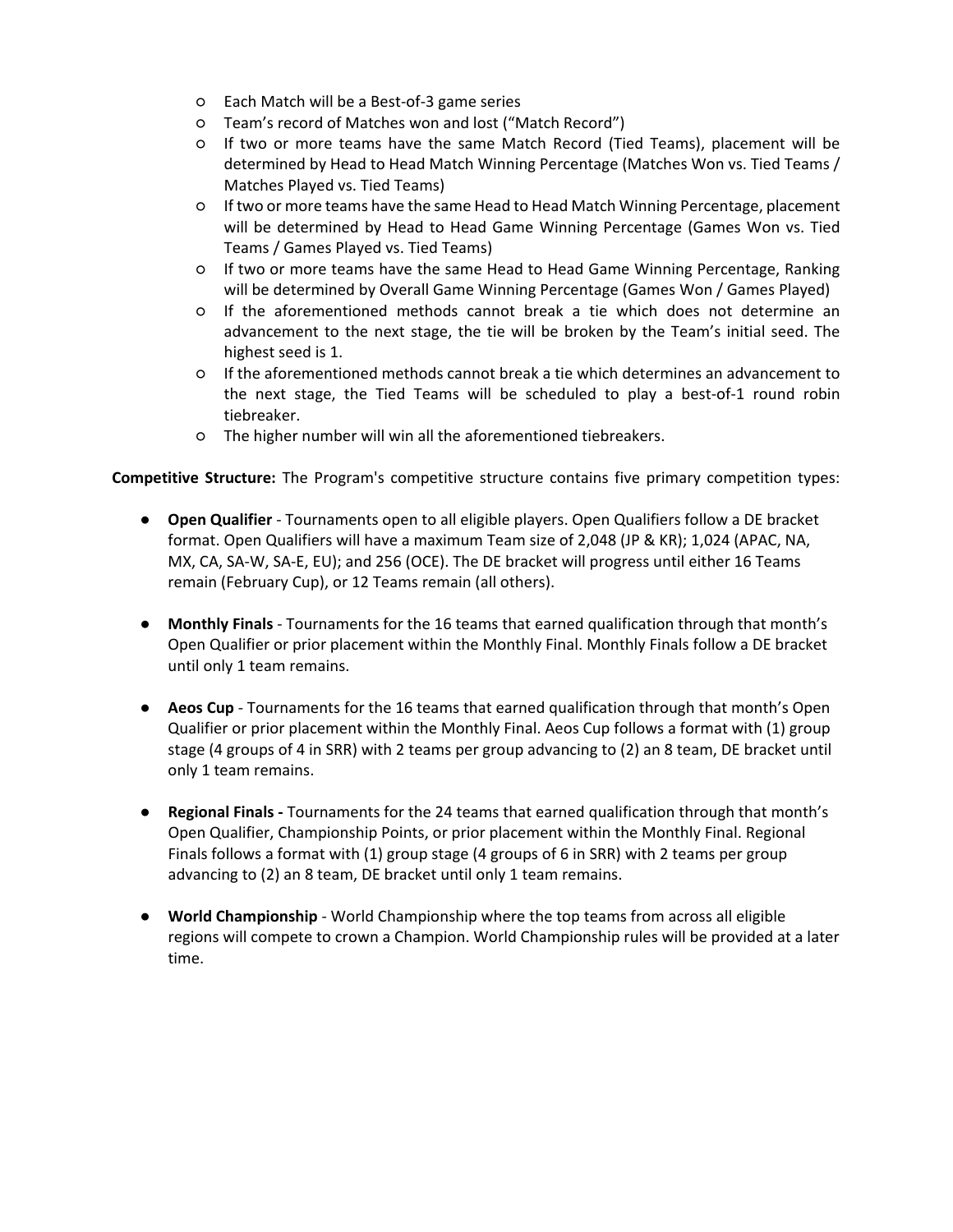- Each Match will be a Best-of-3 game series
- Team's record of Matches won and lost ("Match Record")
- If two or more teams have the same Match Record (Tied Teams), placement will be determined by Head to Head Match Winning Percentage (Matches Won vs. Tied Teams / Matches Played vs. Tied Teams)
- If two or more teams have the same Head to Head Match Winning Percentage, placement will be determined by Head to Head Game Winning Percentage (Games Won vs. Tied Teams / Games Played vs. Tied Teams)
- If two or more teams have the same Head to Head Game Winning Percentage, Ranking will be determined by Overall Game Winning Percentage (Games Won / Games Played)
- If the aforementioned methods cannot break a tie which does not determine an advancement to the next stage, the tie will be broken by the Team's initial seed. The highest seed is 1.
- If the aforementioned methods cannot break a tie which determines an advancement to the next stage, the Tied Teams will be scheduled to play a best-of-1 round robin tiebreaker.
- The higher number will win all the aforementioned tiebreakers.

**Competitive Structure:** The Program's competitive structure contains five primary competition types:

- **Open Qualifier** Tournaments open to all eligible players. Open Qualifiers follow a DE bracket format. Open Qualifiers will have a maximum Team size of 2,048 (JP & KR); 1,024 (APAC, NA, MX, CA, SA-W, SA-E, EU); and 256 (OCE). The DE bracket will progress until either 16 Teams remain (February Cup), or 12 Teams remain (all others).
- **Monthly Finals** Tournaments for the 16 teams that earned qualification through that month's Open Qualifier or prior placement within the Monthly Final. Monthly Finals follow a DE bracket until only 1 team remains.
- **Aeos Cup** Tournaments for the 16 teams that earned qualification through that month's Open Qualifier or prior placement within the Monthly Final. Aeos Cup follows a format with (1) group stage (4 groups of 4 in SRR) with 2 teams per group advancing to (2) an 8 team, DE bracket until only 1 team remains.
- **Regional Finals -** Tournaments for the 24 teams that earned qualification through that month's Open Qualifier, Championship Points, or prior placement within the Monthly Final. Regional Finals follows a format with (1) group stage (4 groups of 6 in SRR) with 2 teams per group advancing to (2) an 8 team, DE bracket until only 1 team remains.
- **World Championship** World Championship where the top teams from across all eligible regions will compete to crown a Champion. World Championship rules will be provided at a later time.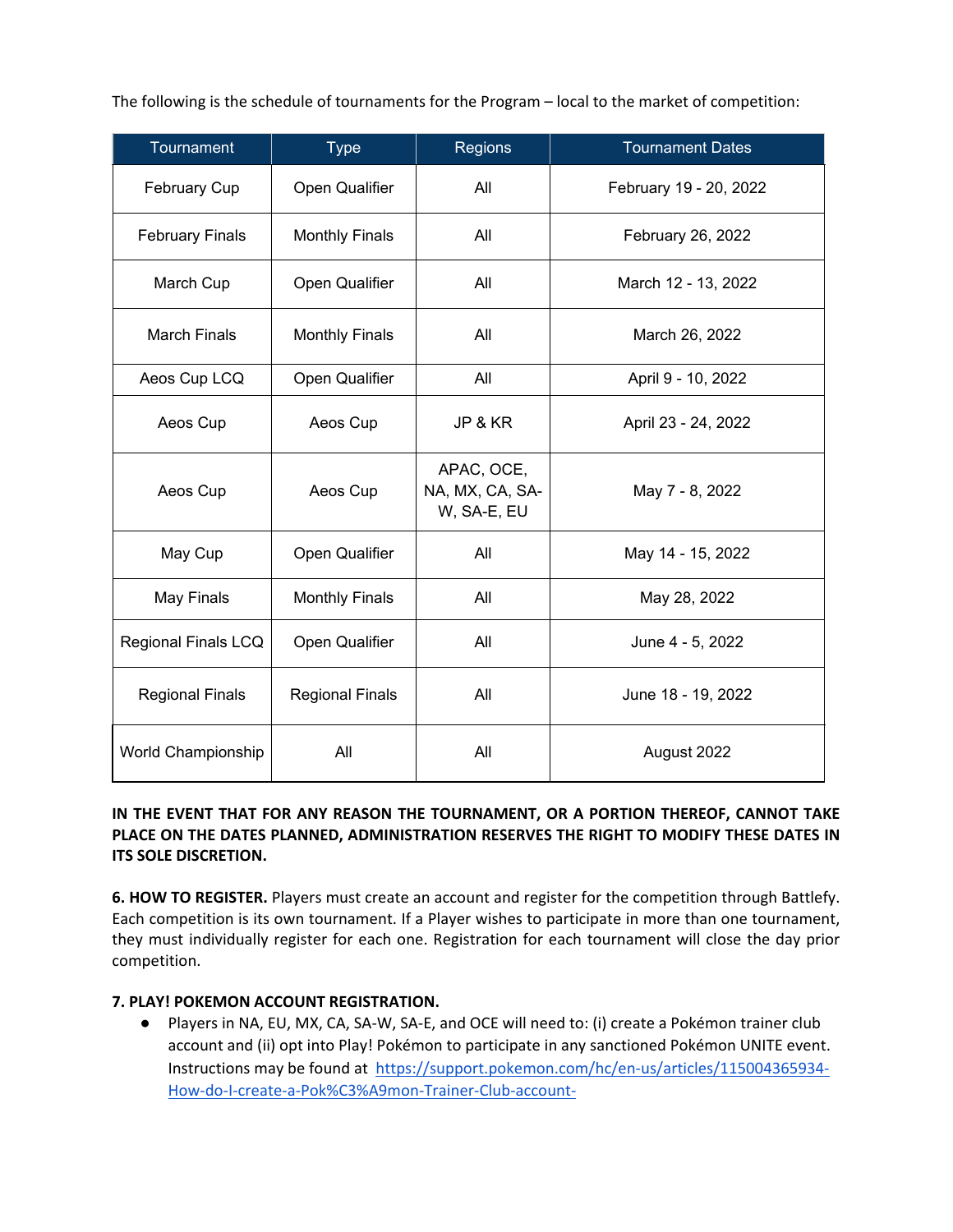The following is the schedule of tournaments for the Program – local to the market of competition:

| Tournament             | <b>Type</b>            | <b>Regions</b>                               | <b>Tournament Dates</b> |
|------------------------|------------------------|----------------------------------------------|-------------------------|
| <b>February Cup</b>    | Open Qualifier         | All                                          | February 19 - 20, 2022  |
| <b>February Finals</b> | <b>Monthly Finals</b>  | All                                          | February 26, 2022       |
| March Cup              | Open Qualifier         | All                                          | March 12 - 13, 2022     |
| <b>March Finals</b>    | <b>Monthly Finals</b>  | All                                          | March 26, 2022          |
| Aeos Cup LCQ           | Open Qualifier         | All                                          | April 9 - 10, 2022      |
| Aeos Cup               | Aeos Cup               | JP & KR                                      | April 23 - 24, 2022     |
| Aeos Cup               | Aeos Cup               | APAC, OCE,<br>NA, MX, CA, SA-<br>W, SA-E, EU | May 7 - 8, 2022         |
| May Cup                | Open Qualifier         | All                                          | May 14 - 15, 2022       |
| May Finals             | <b>Monthly Finals</b>  | All                                          | May 28, 2022            |
| Regional Finals LCQ    | Open Qualifier         | All                                          | June 4 - 5, 2022        |
| <b>Regional Finals</b> | <b>Regional Finals</b> | All                                          | June 18 - 19, 2022      |
| World Championship     | All                    | All                                          | August 2022             |

# **IN THE EVENT THAT FOR ANY REASON THE TOURNAMENT, OR A PORTION THEREOF, CANNOT TAKE PLACE ON THE DATES PLANNED, ADMINISTRATION RESERVES THE RIGHT TO MODIFY THESE DATES IN ITS SOLE DISCRETION.**

**6. HOW TO REGISTER.** Players must create an account and register for the competition through Battlefy. Each competition is its own tournament. If a Player wishes to participate in more than one tournament, they must individually register for each one. Registration for each tournament will close the day prior competition.

# **7. PLAY! POKEMON ACCOUNT REGISTRATION.**

● Players in NA, EU, MX, CA, SA-W, SA-E, and OCE will need to: (i) create a Pokémon trainer club account and (ii) opt into Play! Pokémon to participate in any sanctioned Pokémon UNITE event. Instructions may be found at [https://support.pokemon.com/hc/en-us/articles/115004365934-](https://support.pokemon.com/hc/en-us/articles/115004365934-How-do-I-create-a-Pok%C3%A9mon-Trainer-Club-account-) [How-do-I-create-a-Pok%C3%A9mon-Trainer-Club-account-](https://support.pokemon.com/hc/en-us/articles/115004365934-How-do-I-create-a-Pok%C3%A9mon-Trainer-Club-account-)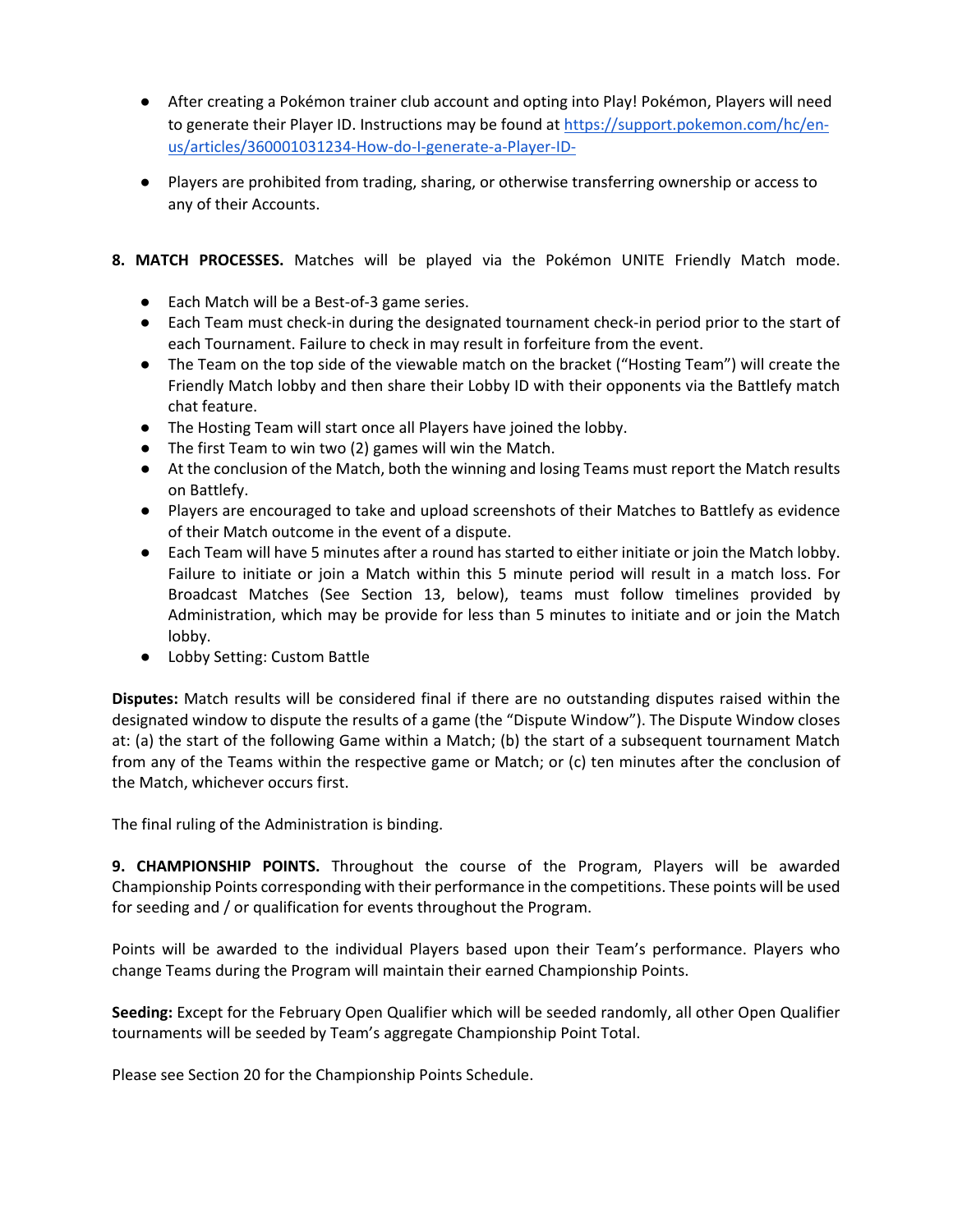- After creating a Pokémon trainer club account and opting into Play! Pokémon, Players will need to generate their Player ID. Instructions may be found at [https://support.pokemon.com/hc/en](https://support.pokemon.com/hc/en-us/articles/360001031234-How-do-I-generate-a-Player-ID-)[us/articles/360001031234-How-do-I-generate-a-Player-ID-](https://support.pokemon.com/hc/en-us/articles/360001031234-How-do-I-generate-a-Player-ID-)
- Players are prohibited from trading, sharing, or otherwise transferring ownership or access to any of their Accounts.

# **8. MATCH PROCESSES.** Matches will be played via the Pokémon UNITE Friendly Match mode.

- Each Match will be a Best-of-3 game series.
- Each Team must check-in during the designated tournament check-in period prior to the start of each Tournament. Failure to check in may result in forfeiture from the event.
- The Team on the top side of the viewable match on the bracket ("Hosting Team") will create the Friendly Match lobby and then share their Lobby ID with their opponents via the Battlefy match chat feature.
- The Hosting Team will start once all Players have joined the lobby.
- The first Team to win two (2) games will win the Match.
- At the conclusion of the Match, both the winning and losing Teams must report the Match results on Battlefy.
- Players are encouraged to take and upload screenshots of their Matches to Battlefy as evidence of their Match outcome in the event of a dispute.
- Each Team will have 5 minutes after a round has started to either initiate or join the Match lobby. Failure to initiate or join a Match within this 5 minute period will result in a match loss. For Broadcast Matches (See Section 13, below), teams must follow timelines provided by Administration, which may be provide for less than 5 minutes to initiate and or join the Match lobby.
- Lobby Setting: Custom Battle

**Disputes:** Match results will be considered final if there are no outstanding disputes raised within the designated window to dispute the results of a game (the "Dispute Window"). The Dispute Window closes at: (a) the start of the following Game within a Match; (b) the start of a subsequent tournament Match from any of the Teams within the respective game or Match; or (c) ten minutes after the conclusion of the Match, whichever occurs first.

The final ruling of the Administration is binding.

**9. CHAMPIONSHIP POINTS.** Throughout the course of the Program, Players will be awarded Championship Points corresponding with their performance in the competitions. These points will be used for seeding and / or qualification for events throughout the Program.

Points will be awarded to the individual Players based upon their Team's performance. Players who change Teams during the Program will maintain their earned Championship Points.

**Seeding:** Except for the February Open Qualifier which will be seeded randomly, all other Open Qualifier tournaments will be seeded by Team's aggregate Championship Point Total.

Please see Section 20 for the Championship Points Schedule.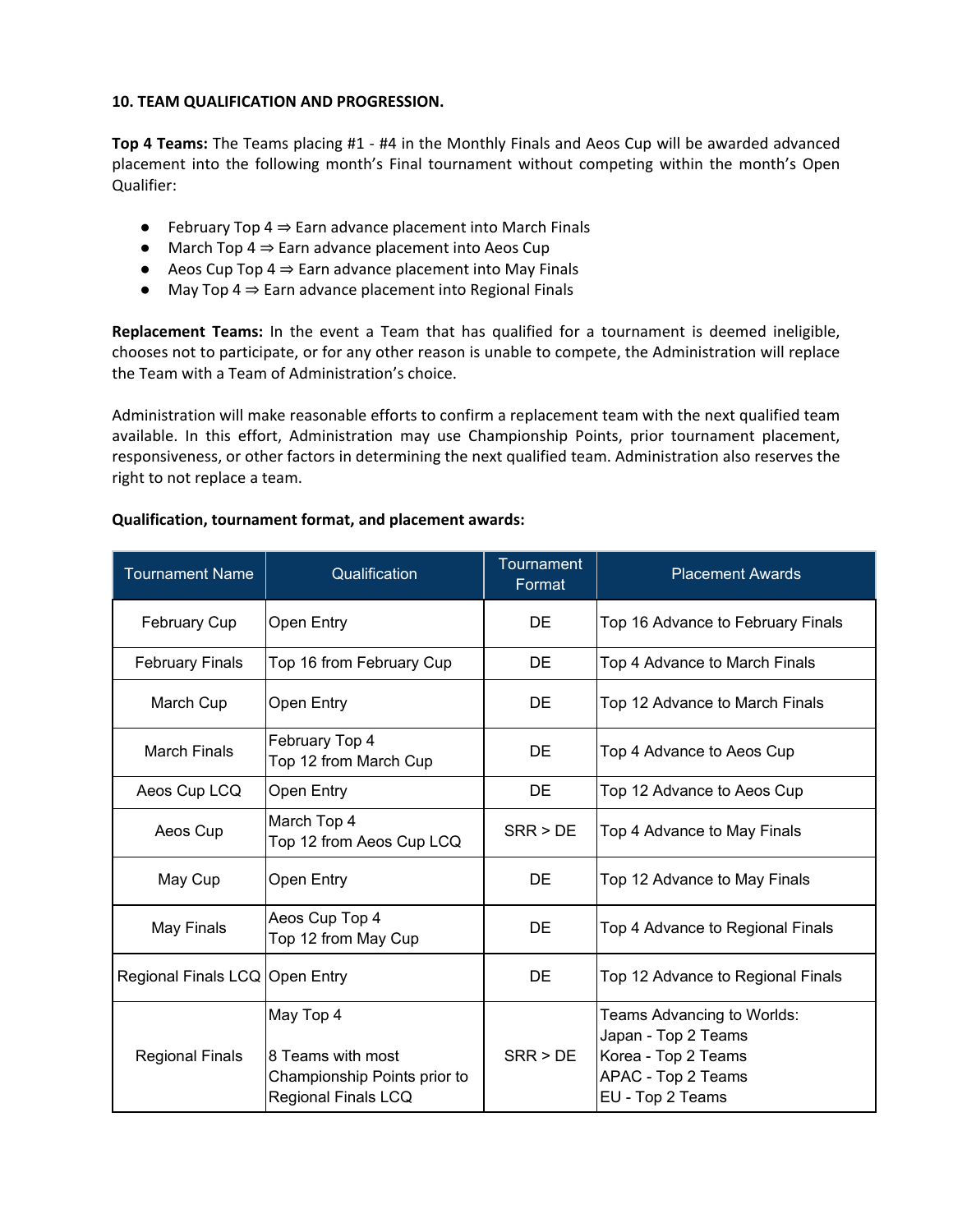#### **10. TEAM QUALIFICATION AND PROGRESSION.**

**Top 4 Teams:** The Teams placing #1 - #4 in the Monthly Finals and Aeos Cup will be awarded advanced placement into the following month's Final tournament without competing within the month's Open Qualifier:

- $\bullet$  February Top 4  $\Rightarrow$  Earn advance placement into March Finals
- $\bullet$  March Top 4  $\Rightarrow$  Earn advance placement into Aeos Cup
- $\bullet$  Aeos Cup Top 4  $\Rightarrow$  Earn advance placement into May Finals
- May Top 4 ⇒ Earn advance placement into Regional Finals

**Replacement Teams:** In the event a Team that has qualified for a tournament is deemed ineligible, chooses not to participate, or for any other reason is unable to compete, the Administration will replace the Team with a Team of Administration's choice.

Administration will make reasonable efforts to confirm a replacement team with the next qualified team available. In this effort, Administration may use Championship Points, prior tournament placement, responsiveness, or other factors in determining the next qualified team. Administration also reserves the right to not replace a team.

### **Qualification, tournament format, and placement awards:**

| <b>Tournament Name</b>         | Qualification                                                                         | <b>Tournament</b><br>Format | <b>Placement Awards</b>                                                                                            |
|--------------------------------|---------------------------------------------------------------------------------------|-----------------------------|--------------------------------------------------------------------------------------------------------------------|
| February Cup                   | Open Entry                                                                            | DE                          | Top 16 Advance to February Finals                                                                                  |
| <b>February Finals</b>         | Top 16 from February Cup                                                              | <b>DE</b>                   | Top 4 Advance to March Finals                                                                                      |
| March Cup                      | <b>Open Entry</b>                                                                     | <b>DE</b>                   | Top 12 Advance to March Finals                                                                                     |
| <b>March Finals</b>            | February Top 4<br>Top 12 from March Cup                                               | DE                          | Top 4 Advance to Aeos Cup                                                                                          |
| Aeos Cup LCQ                   | Open Entry                                                                            | <b>DE</b>                   | Top 12 Advance to Aeos Cup                                                                                         |
| Aeos Cup                       | March Top 4<br>Top 12 from Aeos Cup LCQ                                               | SRR > DE                    | Top 4 Advance to May Finals                                                                                        |
| May Cup                        | <b>Open Entry</b>                                                                     | DE                          | Top 12 Advance to May Finals                                                                                       |
| May Finals                     | Aeos Cup Top 4<br>Top 12 from May Cup                                                 | <b>DE</b>                   | Top 4 Advance to Regional Finals                                                                                   |
| Regional Finals LCQ Open Entry |                                                                                       | DE                          | Top 12 Advance to Regional Finals                                                                                  |
| <b>Regional Finals</b>         | May Top 4<br>8 Teams with most<br>Championship Points prior to<br>Regional Finals LCQ | SRR > DE                    | Teams Advancing to Worlds:<br>Japan - Top 2 Teams<br>Korea - Top 2 Teams<br>APAC - Top 2 Teams<br>EU - Top 2 Teams |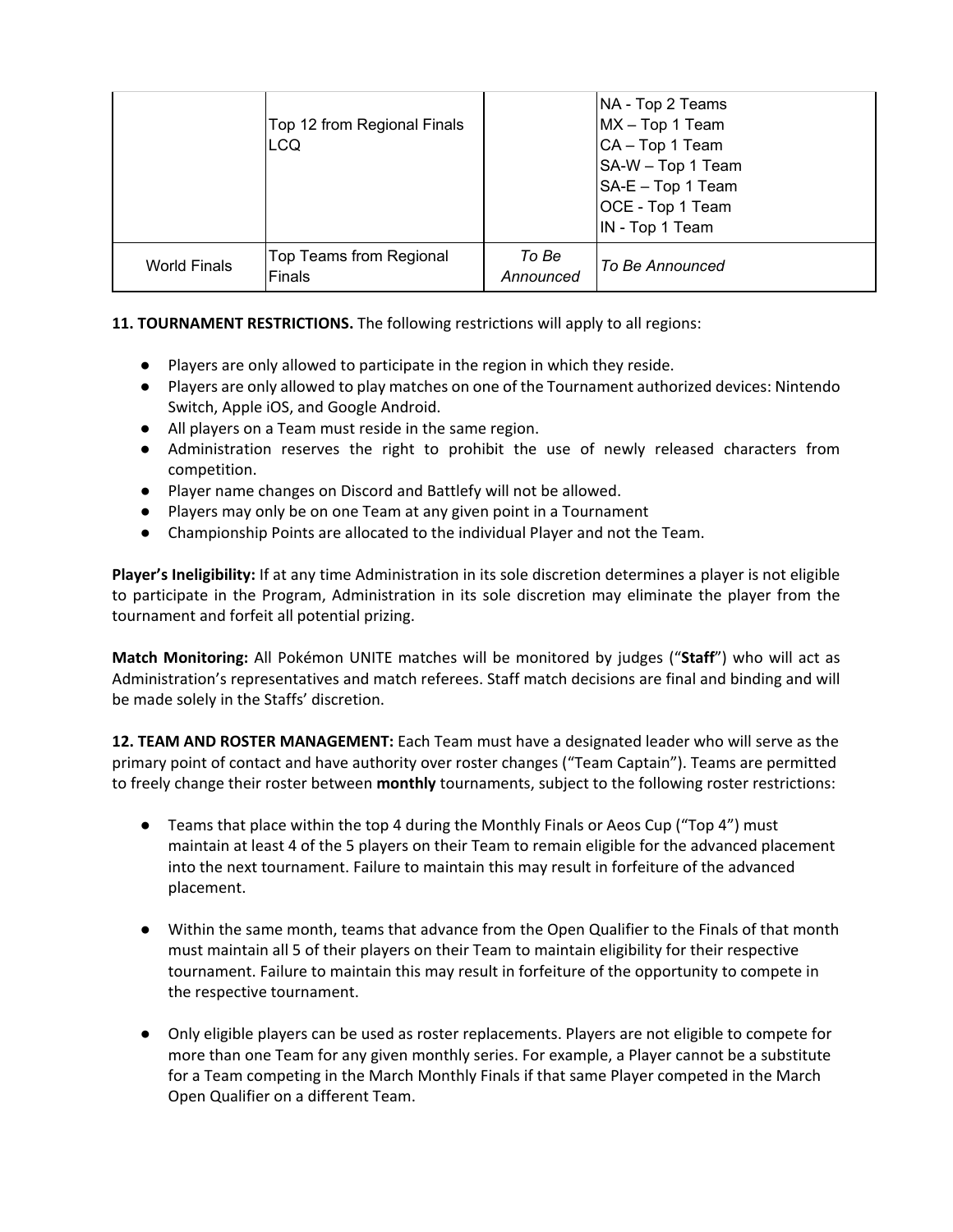|                     | Top 12 from Regional Finals<br> LCQ |                    | NA - Top 2 Teams<br>MX - Top 1 Team<br>CA - Top 1 Team<br>SA-W - Top 1 Team<br>$SA-E - Top 1 Team$<br>OCE - Top 1 Team<br>IN - Top 1 Team |
|---------------------|-------------------------------------|--------------------|-------------------------------------------------------------------------------------------------------------------------------------------|
| <b>World Finals</b> | Top Teams from Regional<br>Finals   | To Be<br>Announced | To Be Announced                                                                                                                           |

# **11. TOURNAMENT RESTRICTIONS.** The following restrictions will apply to all regions:

- Players are only allowed to participate in the region in which they reside.
- Players are only allowed to play matches on one of the Tournament authorized devices: Nintendo Switch, Apple iOS, and Google Android.
- All players on a Team must reside in the same region.
- Administration reserves the right to prohibit the use of newly released characters from competition.
- Player name changes on Discord and Battlefy will not be allowed.
- Players may only be on one Team at any given point in a Tournament
- Championship Points are allocated to the individual Player and not the Team.

**Player's Ineligibility:** If at any time Administration in its sole discretion determines a player is not eligible to participate in the Program, Administration in its sole discretion may eliminate the player from the tournament and forfeit all potential prizing.

**Match Monitoring:** All Pokémon UNITE matches will be monitored by judges ("**Staff**") who will act as Administration's representatives and match referees. Staff match decisions are final and binding and will be made solely in the Staffs' discretion.

**12. TEAM AND ROSTER MANAGEMENT:** Each Team must have a designated leader who will serve as the primary point of contact and have authority over roster changes ("Team Captain"). Teams are permitted to freely change their roster between **monthly** tournaments, subject to the following roster restrictions:

- Teams that place within the top 4 during the Monthly Finals or Aeos Cup ("Top 4") must maintain at least 4 of the 5 players on their Team to remain eligible for the advanced placement into the next tournament. Failure to maintain this may result in forfeiture of the advanced placement.
- Within the same month, teams that advance from the Open Qualifier to the Finals of that month must maintain all 5 of their players on their Team to maintain eligibility for their respective tournament. Failure to maintain this may result in forfeiture of the opportunity to compete in the respective tournament.
- Only eligible players can be used as roster replacements. Players are not eligible to compete for more than one Team for any given monthly series. For example, a Player cannot be a substitute for a Team competing in the March Monthly Finals if that same Player competed in the March Open Qualifier on a different Team.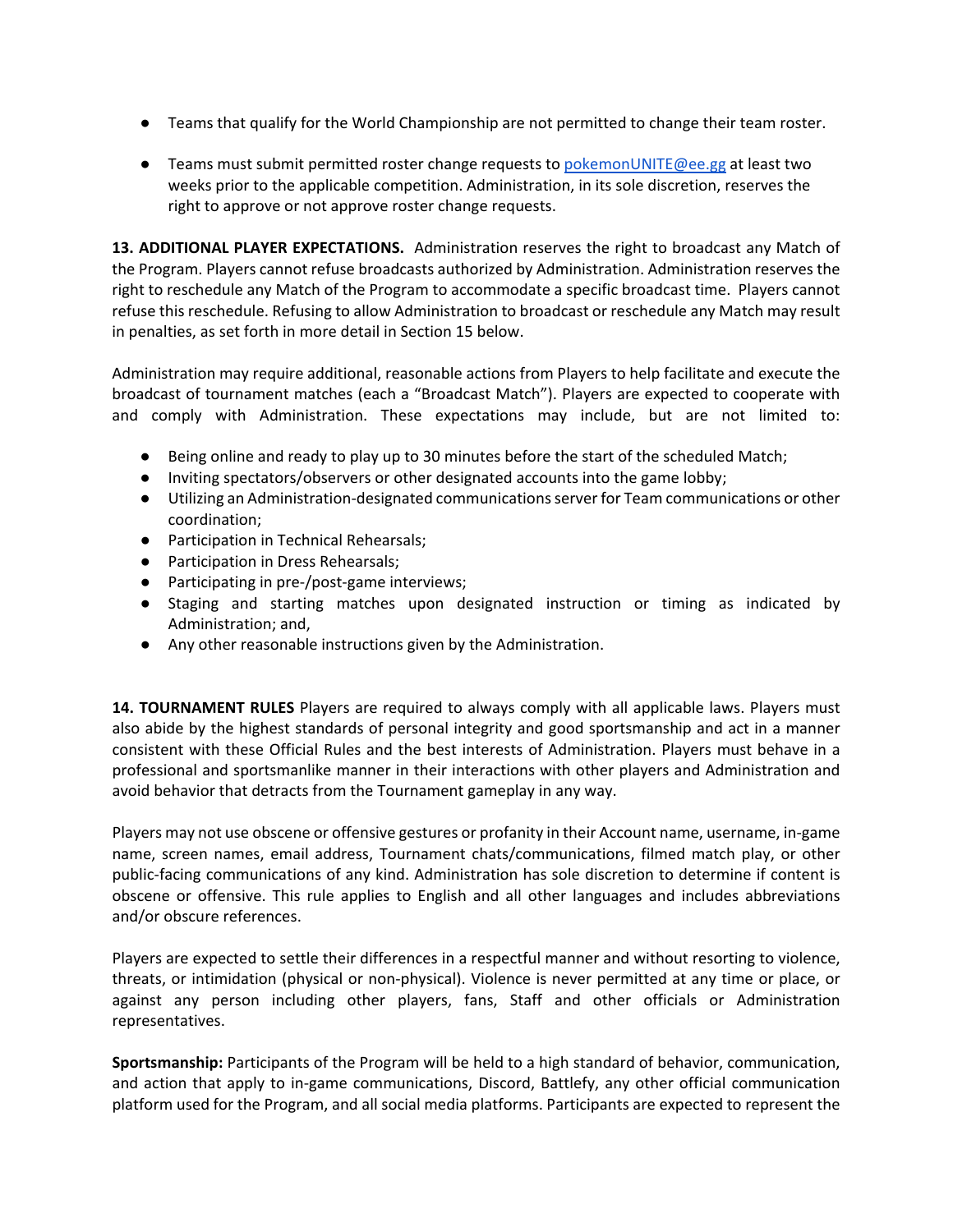- Teams that qualify for the World Championship are not permitted to change their team roster.
- Teams must submit permitted roster change requests t[o pokemonUNITE@ee.gg](mailto:pokemonunite@ee.gg) at least two weeks prior to the applicable competition. Administration, in its sole discretion, reserves the right to approve or not approve roster change requests.

**13. ADDITIONAL PLAYER EXPECTATIONS.** Administration reserves the right to broadcast any Match of the Program. Players cannot refuse broadcasts authorized by Administration. Administration reserves the right to reschedule any Match of the Program to accommodate a specific broadcast time. Players cannot refuse this reschedule. Refusing to allow Administration to broadcast or reschedule any Match may result in penalties, as set forth in more detail in Section 15 below.

Administration may require additional, reasonable actions from Players to help facilitate and execute the broadcast of tournament matches (each a "Broadcast Match"). Players are expected to cooperate with and comply with Administration. These expectations may include, but are not limited to:

- Being online and ready to play up to 30 minutes before the start of the scheduled Match;
- Inviting spectators/observers or other designated accounts into the game lobby;
- Utilizing an Administration-designated communications server for Team communications or other coordination;
- Participation in Technical Rehearsals;
- Participation in Dress Rehearsals;
- Participating in pre-/post-game interviews;
- Staging and starting matches upon designated instruction or timing as indicated by Administration; and,
- Any other reasonable instructions given by the Administration.

**14. TOURNAMENT RULES** Players are required to always comply with all applicable laws. Players must also abide by the highest standards of personal integrity and good sportsmanship and act in a manner consistent with these Official Rules and the best interests of Administration. Players must behave in a professional and sportsmanlike manner in their interactions with other players and Administration and avoid behavior that detracts from the Tournament gameplay in any way.

Players may not use obscene or offensive gestures or profanity in their Account name, username, in-game name, screen names, email address, Tournament chats/communications, filmed match play, or other public-facing communications of any kind. Administration has sole discretion to determine if content is obscene or offensive. This rule applies to English and all other languages and includes abbreviations and/or obscure references.

Players are expected to settle their differences in a respectful manner and without resorting to violence, threats, or intimidation (physical or non-physical). Violence is never permitted at any time or place, or against any person including other players, fans, Staff and other officials or Administration representatives.

**Sportsmanship:** Participants of the Program will be held to a high standard of behavior, communication, and action that apply to in-game communications, Discord, Battlefy, any other official communication platform used for the Program, and all social media platforms. Participants are expected to represent the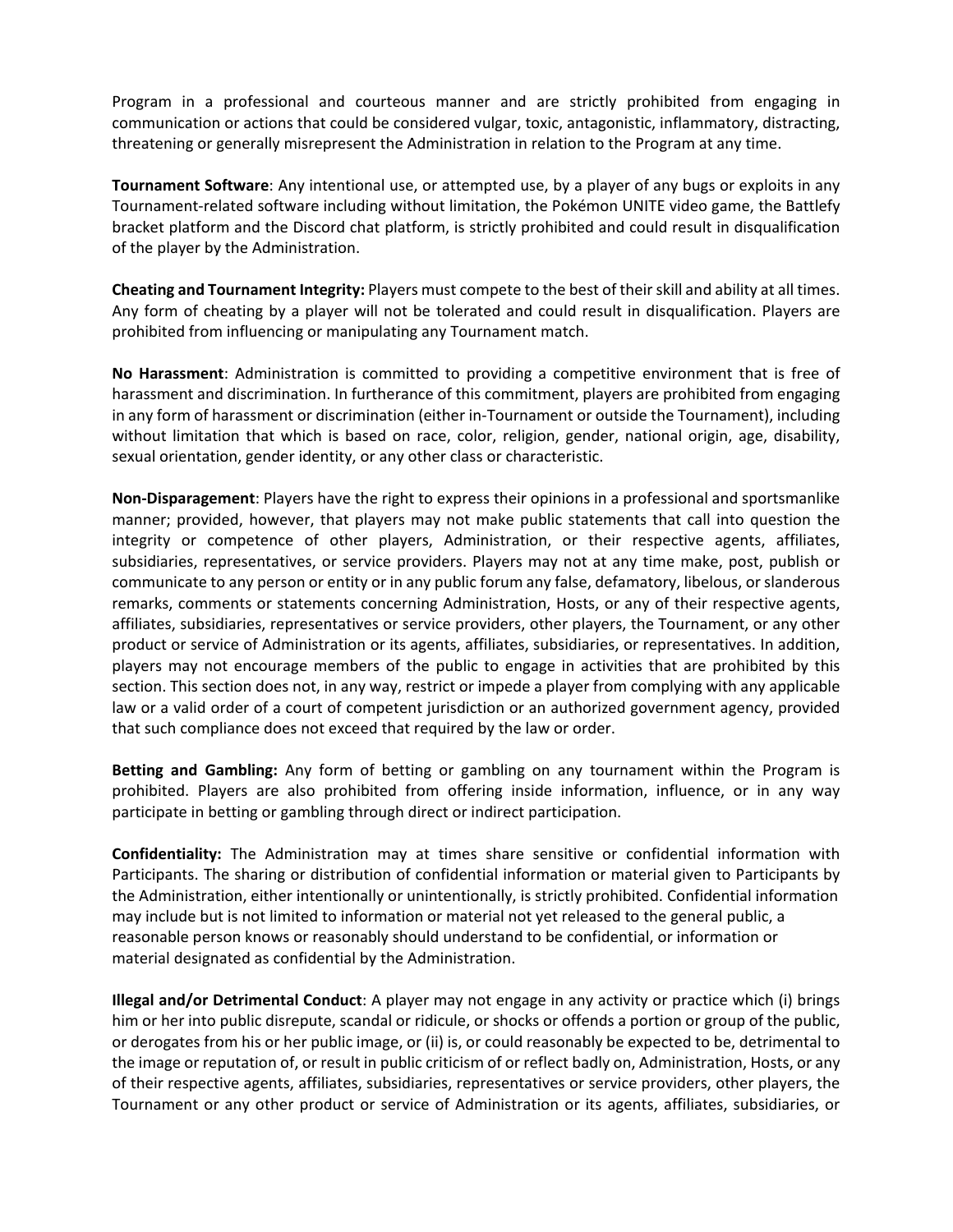Program in a professional and courteous manner and are strictly prohibited from engaging in communication or actions that could be considered vulgar, toxic, antagonistic, inflammatory, distracting, threatening or generally misrepresent the Administration in relation to the Program at any time.

**Tournament Software**: Any intentional use, or attempted use, by a player of any bugs or exploits in any Tournament-related software including without limitation, the Pokémon UNITE video game, the Battlefy bracket platform and the Discord chat platform, is strictly prohibited and could result in disqualification of the player by the Administration.

**Cheating and Tournament Integrity:** Players must compete to the best of their skill and ability at all times. Any form of cheating by a player will not be tolerated and could result in disqualification. Players are prohibited from influencing or manipulating any Tournament match.

**No Harassment**: Administration is committed to providing a competitive environment that is free of harassment and discrimination. In furtherance of this commitment, players are prohibited from engaging in any form of harassment or discrimination (either in-Tournament or outside the Tournament), including without limitation that which is based on race, color, religion, gender, national origin, age, disability, sexual orientation, gender identity, or any other class or characteristic.

**Non-Disparagement**: Players have the right to express their opinions in a professional and sportsmanlike manner; provided, however, that players may not make public statements that call into question the integrity or competence of other players, Administration, or their respective agents, affiliates, subsidiaries, representatives, or service providers. Players may not at any time make, post, publish or communicate to any person or entity or in any public forum any false, defamatory, libelous, or slanderous remarks, comments or statements concerning Administration, Hosts, or any of their respective agents, affiliates, subsidiaries, representatives or service providers, other players, the Tournament, or any other product or service of Administration or its agents, affiliates, subsidiaries, or representatives. In addition, players may not encourage members of the public to engage in activities that are prohibited by this section. This section does not, in any way, restrict or impede a player from complying with any applicable law or a valid order of a court of competent jurisdiction or an authorized government agency, provided that such compliance does not exceed that required by the law or order.

**Betting and Gambling:** Any form of betting or gambling on any tournament within the Program is prohibited. Players are also prohibited from offering inside information, influence, or in any way participate in betting or gambling through direct or indirect participation.

**Confidentiality:** The Administration may at times share sensitive or confidential information with Participants. The sharing or distribution of confidential information or material given to Participants by the Administration, either intentionally or unintentionally, is strictly prohibited. Confidential information may include but is not limited to information or material not yet released to the general public, a reasonable person knows or reasonably should understand to be confidential, or information or material designated as confidential by the Administration.

**Illegal and/or Detrimental Conduct**: A player may not engage in any activity or practice which (i) brings him or her into public disrepute, scandal or ridicule, or shocks or offends a portion or group of the public, or derogates from his or her public image, or (ii) is, or could reasonably be expected to be, detrimental to the image or reputation of, or result in public criticism of or reflect badly on, Administration, Hosts, or any of their respective agents, affiliates, subsidiaries, representatives or service providers, other players, the Tournament or any other product or service of Administration or its agents, affiliates, subsidiaries, or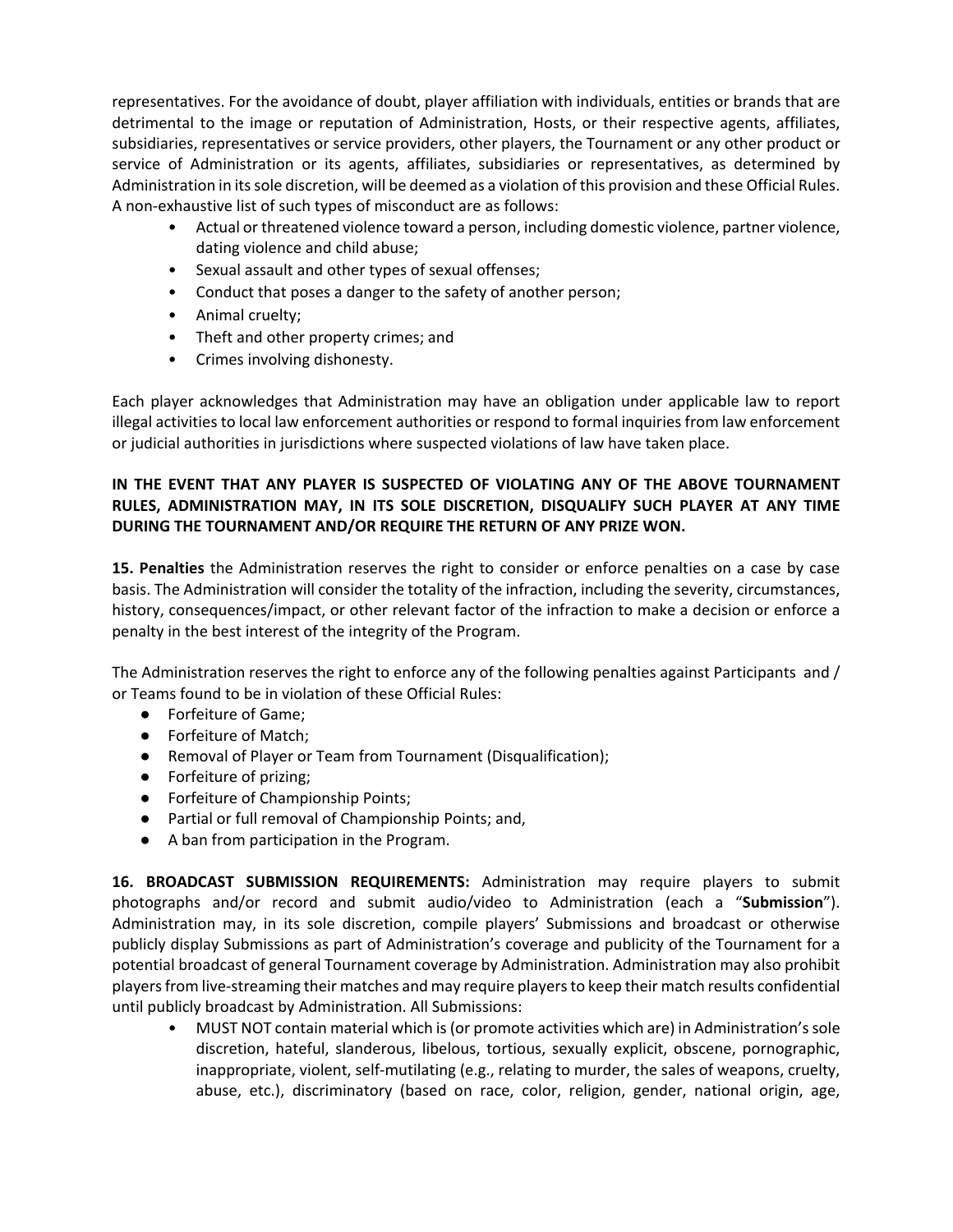representatives. For the avoidance of doubt, player affiliation with individuals, entities or brands that are detrimental to the image or reputation of Administration, Hosts, or their respective agents, affiliates, subsidiaries, representatives or service providers, other players, the Tournament or any other product or service of Administration or its agents, affiliates, subsidiaries or representatives, as determined by Administration in its sole discretion, will be deemed as a violation of this provision and these Official Rules. A non-exhaustive list of such types of misconduct are as follows:

- Actual or threatened violence toward a person, including domestic violence, partner violence, dating violence and child abuse;
- Sexual assault and other types of sexual offenses;
- Conduct that poses a danger to the safety of another person;
- Animal cruelty;
- Theft and other property crimes; and
- Crimes involving dishonesty.

Each player acknowledges that Administration may have an obligation under applicable law to report illegal activities to local law enforcement authorities or respond to formal inquiries from law enforcement or judicial authorities in jurisdictions where suspected violations of law have taken place.

# **IN THE EVENT THAT ANY PLAYER IS SUSPECTED OF VIOLATING ANY OF THE ABOVE TOURNAMENT RULES, ADMINISTRATION MAY, IN ITS SOLE DISCRETION, DISQUALIFY SUCH PLAYER AT ANY TIME DURING THE TOURNAMENT AND/OR REQUIRE THE RETURN OF ANY PRIZE WON.**

**15. Penalties** the Administration reserves the right to consider or enforce penalties on a case by case basis. The Administration will consider the totality of the infraction, including the severity, circumstances, history, consequences/impact, or other relevant factor of the infraction to make a decision or enforce a penalty in the best interest of the integrity of the Program.

The Administration reserves the right to enforce any of the following penalties against Participants and / or Teams found to be in violation of these Official Rules:

- Forfeiture of Game:
- Forfeiture of Match;
- Removal of Player or Team from Tournament (Disqualification);
- Forfeiture of prizing;
- Forfeiture of Championship Points;
- Partial or full removal of Championship Points; and,
- A ban from participation in the Program.

**16. BROADCAST SUBMISSION REQUIREMENTS:** Administration may require players to submit photographs and/or record and submit audio/video to Administration (each a "**Submission**"). Administration may, in its sole discretion, compile players' Submissions and broadcast or otherwise publicly display Submissions as part of Administration's coverage and publicity of the Tournament for a potential broadcast of general Tournament coverage by Administration. Administration may also prohibit players from live-streaming their matches and may require players to keep their match results confidential until publicly broadcast by Administration. All Submissions:

• MUST NOT contain material which is (or promote activities which are) in Administration's sole discretion, hateful, slanderous, libelous, tortious, sexually explicit, obscene, pornographic, inappropriate, violent, self-mutilating (e.g., relating to murder, the sales of weapons, cruelty, abuse, etc.), discriminatory (based on race, color, religion, gender, national origin, age,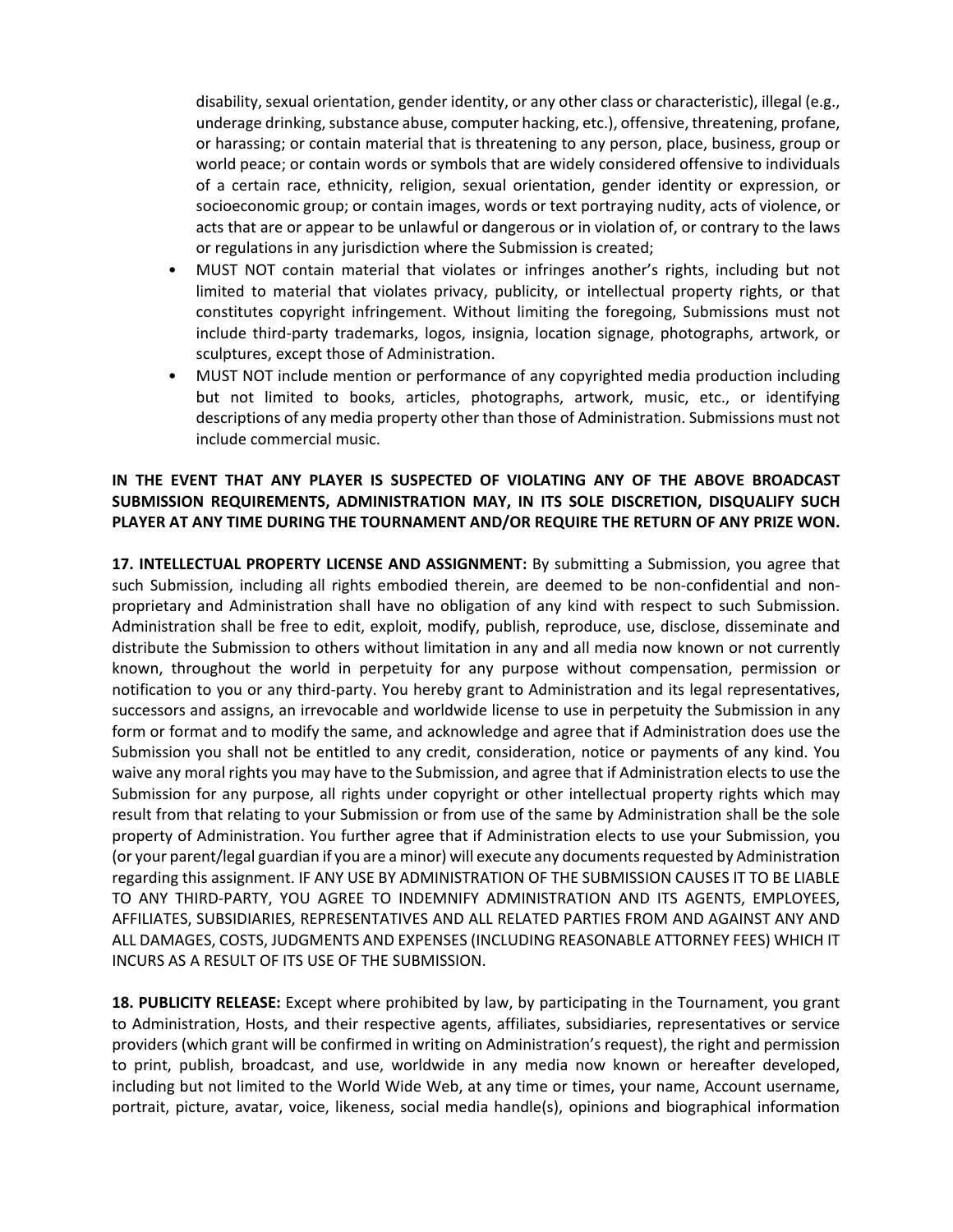disability, sexual orientation, gender identity, or any other class or characteristic), illegal (e.g., underage drinking, substance abuse, computer hacking, etc.), offensive, threatening, profane, or harassing; or contain material that is threatening to any person, place, business, group or world peace; or contain words or symbols that are widely considered offensive to individuals of a certain race, ethnicity, religion, sexual orientation, gender identity or expression, or socioeconomic group; or contain images, words or text portraying nudity, acts of violence, or acts that are or appear to be unlawful or dangerous or in violation of, or contrary to the laws or regulations in any jurisdiction where the Submission is created;

- MUST NOT contain material that violates or infringes another's rights, including but not limited to material that violates privacy, publicity, or intellectual property rights, or that constitutes copyright infringement. Without limiting the foregoing, Submissions must not include third-party trademarks, logos, insignia, location signage, photographs, artwork, or sculptures, except those of Administration.
- MUST NOT include mention or performance of any copyrighted media production including but not limited to books, articles, photographs, artwork, music, etc., or identifying descriptions of any media property other than those of Administration. Submissions must not include commercial music.

### **IN THE EVENT THAT ANY PLAYER IS SUSPECTED OF VIOLATING ANY OF THE ABOVE BROADCAST SUBMISSION REQUIREMENTS, ADMINISTRATION MAY, IN ITS SOLE DISCRETION, DISQUALIFY SUCH PLAYER AT ANY TIME DURING THE TOURNAMENT AND/OR REQUIRE THE RETURN OF ANY PRIZE WON.**

**17. INTELLECTUAL PROPERTY LICENSE AND ASSIGNMENT:** By submitting a Submission, you agree that such Submission, including all rights embodied therein, are deemed to be non-confidential and nonproprietary and Administration shall have no obligation of any kind with respect to such Submission. Administration shall be free to edit, exploit, modify, publish, reproduce, use, disclose, disseminate and distribute the Submission to others without limitation in any and all media now known or not currently known, throughout the world in perpetuity for any purpose without compensation, permission or notification to you or any third-party. You hereby grant to Administration and its legal representatives, successors and assigns, an irrevocable and worldwide license to use in perpetuity the Submission in any form or format and to modify the same, and acknowledge and agree that if Administration does use the Submission you shall not be entitled to any credit, consideration, notice or payments of any kind. You waive any moral rights you may have to the Submission, and agree that if Administration elects to use the Submission for any purpose, all rights under copyright or other intellectual property rights which may result from that relating to your Submission or from use of the same by Administration shall be the sole property of Administration. You further agree that if Administration elects to use your Submission, you (or your parent/legal guardian if you are a minor) will execute any documents requested by Administration regarding this assignment. IF ANY USE BY ADMINISTRATION OF THE SUBMISSION CAUSES IT TO BE LIABLE TO ANY THIRD-PARTY, YOU AGREE TO INDEMNIFY ADMINISTRATION AND ITS AGENTS, EMPLOYEES, AFFILIATES, SUBSIDIARIES, REPRESENTATIVES AND ALL RELATED PARTIES FROM AND AGAINST ANY AND ALL DAMAGES, COSTS, JUDGMENTS AND EXPENSES (INCLUDING REASONABLE ATTORNEY FEES) WHICH IT INCURS AS A RESULT OF ITS USE OF THE SUBMISSION.

**18. PUBLICITY RELEASE:** Except where prohibited by law, by participating in the Tournament, you grant to Administration, Hosts, and their respective agents, affiliates, subsidiaries, representatives or service providers (which grant will be confirmed in writing on Administration's request), the right and permission to print, publish, broadcast, and use, worldwide in any media now known or hereafter developed, including but not limited to the World Wide Web, at any time or times, your name, Account username, portrait, picture, avatar, voice, likeness, social media handle(s), opinions and biographical information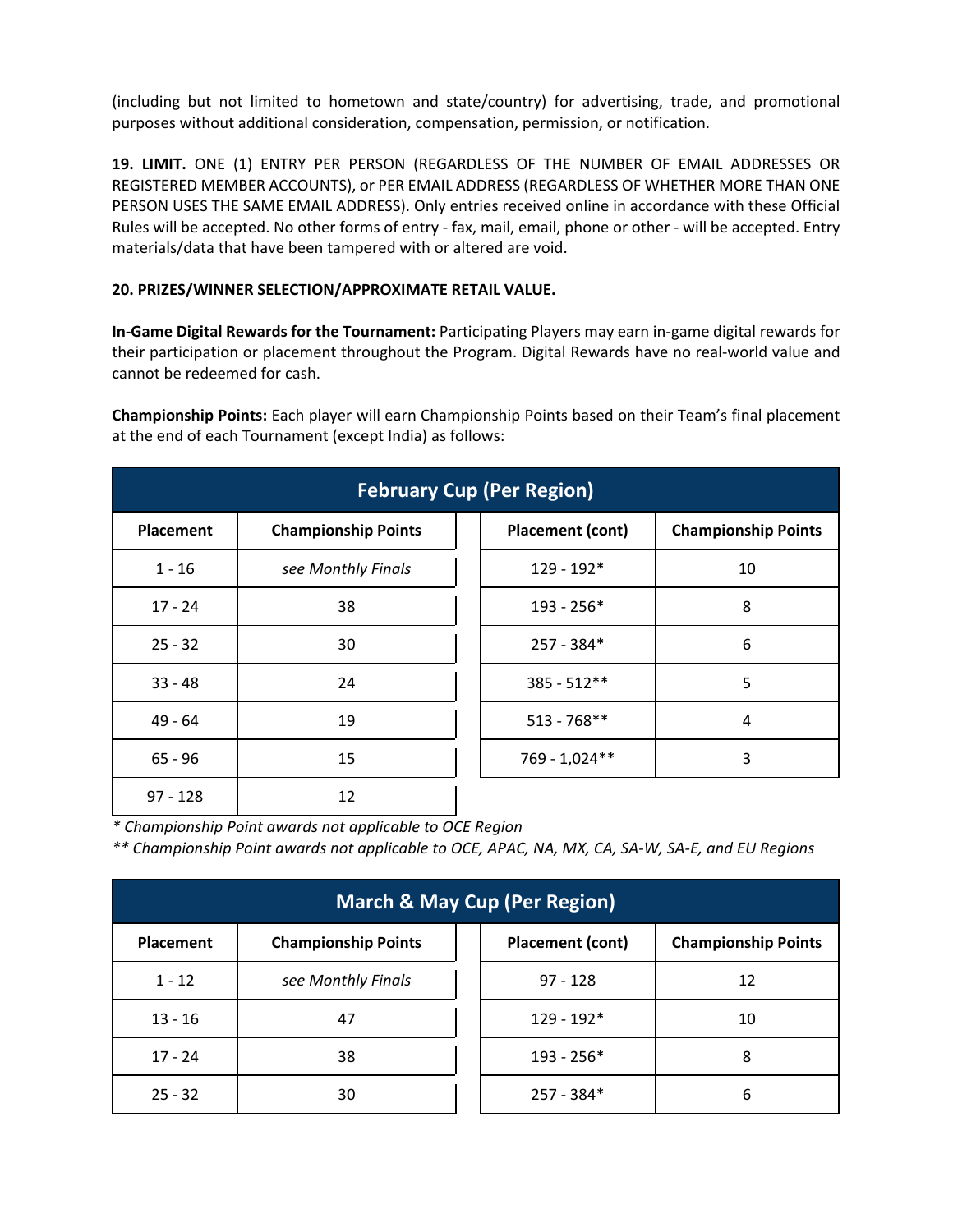(including but not limited to hometown and state/country) for advertising, trade, and promotional purposes without additional consideration, compensation, permission, or notification.

**19. LIMIT.** ONE (1) ENTRY PER PERSON (REGARDLESS OF THE NUMBER OF EMAIL ADDRESSES OR REGISTERED MEMBER ACCOUNTS), or PER EMAIL ADDRESS (REGARDLESS OF WHETHER MORE THAN ONE PERSON USES THE SAME EMAIL ADDRESS). Only entries received online in accordance with these Official Rules will be accepted. No other forms of entry - fax, mail, email, phone or other - will be accepted. Entry materials/data that have been tampered with or altered are void.

# **20. PRIZES/WINNER SELECTION/APPROXIMATE RETAIL VALUE.**

**In-Game Digital Rewards for the Tournament:** Participating Players may earn in-game digital rewards for their participation or placement throughout the Program. Digital Rewards have no real-world value and cannot be redeemed for cash.

**Championship Points:** Each player will earn Championship Points based on their Team's final placement at the end of each Tournament (except India) as follows:

| <b>February Cup (Per Region)</b> |                            |                         |                            |  |  |
|----------------------------------|----------------------------|-------------------------|----------------------------|--|--|
| <b>Placement</b>                 | <b>Championship Points</b> | <b>Placement (cont)</b> | <b>Championship Points</b> |  |  |
| $1 - 16$                         | see Monthly Finals         | $129 - 192*$            | 10                         |  |  |
| $17 - 24$                        | 38                         | $193 - 256*$            | 8                          |  |  |
| $25 - 32$                        | 30                         | $257 - 384*$            | 6                          |  |  |
| $33 - 48$                        | 24                         | $385 - 512**$           | 5                          |  |  |
| $49 - 64$                        | 19                         | $513 - 768$ **          | 4                          |  |  |
| $65 - 96$                        | 15                         | 769 - 1,024**           | 3                          |  |  |
| $97 - 128$                       | 12                         |                         |                            |  |  |

*\* Championship Point awards not applicable to OCE Region*

*\*\* Championship Point awards not applicable to OCE, APAC, NA, MX, CA, SA-W, SA-E, and EU Regions*

| <b>March &amp; May Cup (Per Region)</b> |                            |  |                         |                            |
|-----------------------------------------|----------------------------|--|-------------------------|----------------------------|
| <b>Placement</b>                        | <b>Championship Points</b> |  | <b>Placement (cont)</b> | <b>Championship Points</b> |
| $1 - 12$                                | see Monthly Finals         |  | $97 - 128$              | 12                         |
| $13 - 16$                               | 47                         |  | 129 - 192*              | 10                         |
| $17 - 24$                               | 38                         |  | $193 - 256*$            | 8                          |
| $25 - 32$                               | 30                         |  | $257 - 384*$            | 6                          |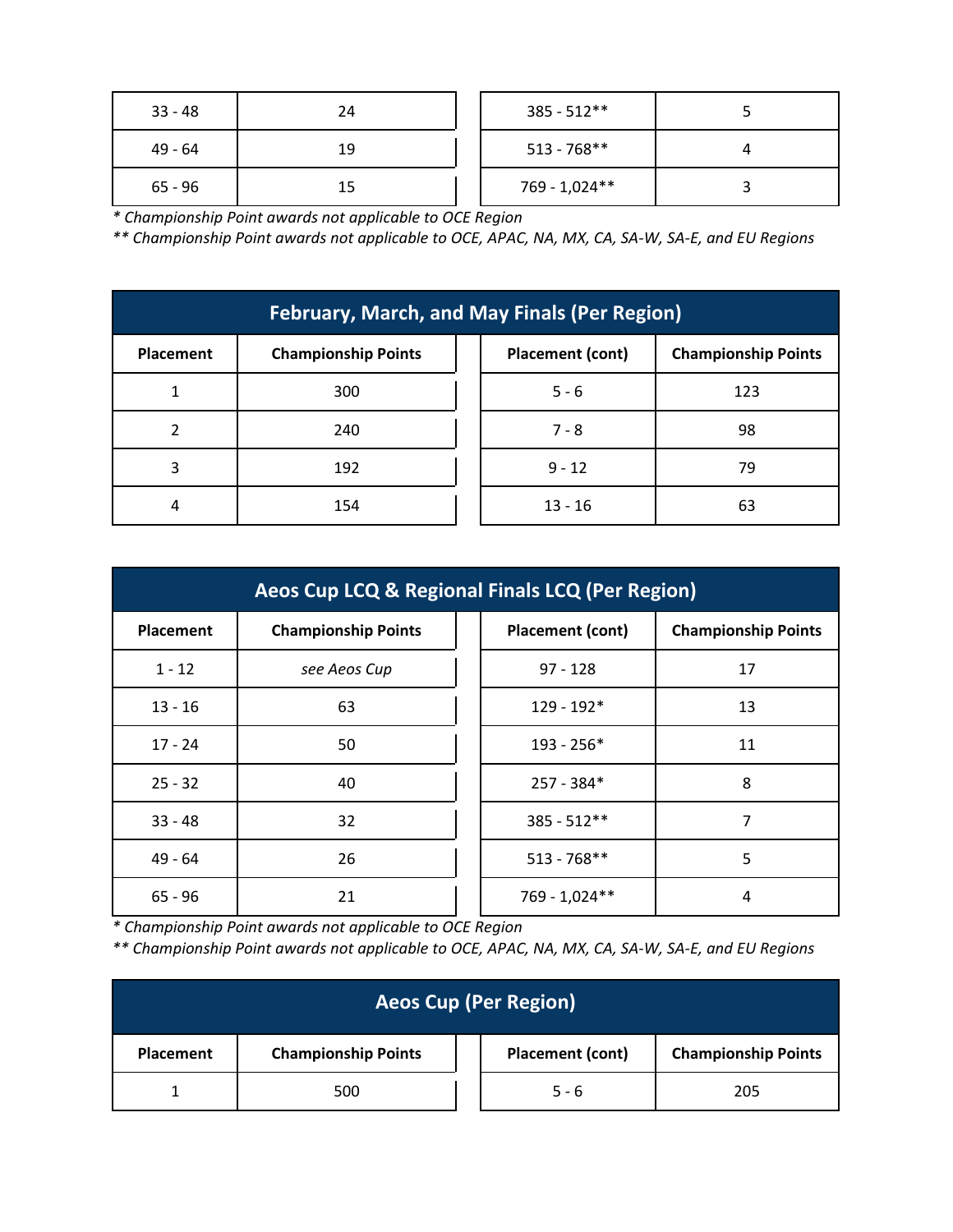| $33 - 48$ | 24 | $385 - 512**$  |  |
|-----------|----|----------------|--|
| 49 - 64   | 19 | $513 - 768$ ** |  |
| $65 - 96$ | 15 | 769 - 1,024**  |  |

*\* Championship Point awards not applicable to OCE Region*

*\*\* Championship Point awards not applicable to OCE, APAC, NA, MX, CA, SA-W, SA-E, and EU Regions*

| <b>February, March, and May Finals (Per Region)</b> |                            |                  |                            |  |
|-----------------------------------------------------|----------------------------|------------------|----------------------------|--|
| Placement                                           | <b>Championship Points</b> | Placement (cont) | <b>Championship Points</b> |  |
| 1                                                   | 300                        | $5 - 6$          | 123                        |  |
| າ                                                   | 240                        | $7 - 8$          | 98                         |  |
| 3                                                   | 192                        | $9 - 12$         | 79                         |  |
| 4                                                   | 154                        | $13 - 16$        | 63                         |  |

| Aeos Cup LCQ & Regional Finals LCQ (Per Region) |                            |  |                  |                            |  |
|-------------------------------------------------|----------------------------|--|------------------|----------------------------|--|
| <b>Placement</b>                                | <b>Championship Points</b> |  | Placement (cont) | <b>Championship Points</b> |  |
| $1 - 12$                                        | see Aeos Cup               |  | $97 - 128$       | 17                         |  |
| $13 - 16$                                       | 63                         |  | $129 - 192*$     | 13                         |  |
| $17 - 24$                                       | 50                         |  | $193 - 256*$     | 11                         |  |
| $25 - 32$                                       | 40                         |  | $257 - 384*$     | 8                          |  |
| $33 - 48$                                       | 32                         |  | $385 - 512**$    | 7                          |  |
| $49 - 64$                                       | 26                         |  | $513 - 768$ **   | 5                          |  |
| $65 - 96$                                       | 21                         |  | 769 - 1,024**    | 4                          |  |

*\* Championship Point awards not applicable to OCE Region*

*\*\* Championship Point awards not applicable to OCE, APAC, NA, MX, CA, SA-W, SA-E, and EU Regions*

| <b>Aeos Cup (Per Region)</b> |                            |  |                         |                            |  |
|------------------------------|----------------------------|--|-------------------------|----------------------------|--|
| <b>Placement</b>             | <b>Championship Points</b> |  | <b>Placement (cont)</b> | <b>Championship Points</b> |  |
|                              | 500                        |  | $5 - 6$                 | 205                        |  |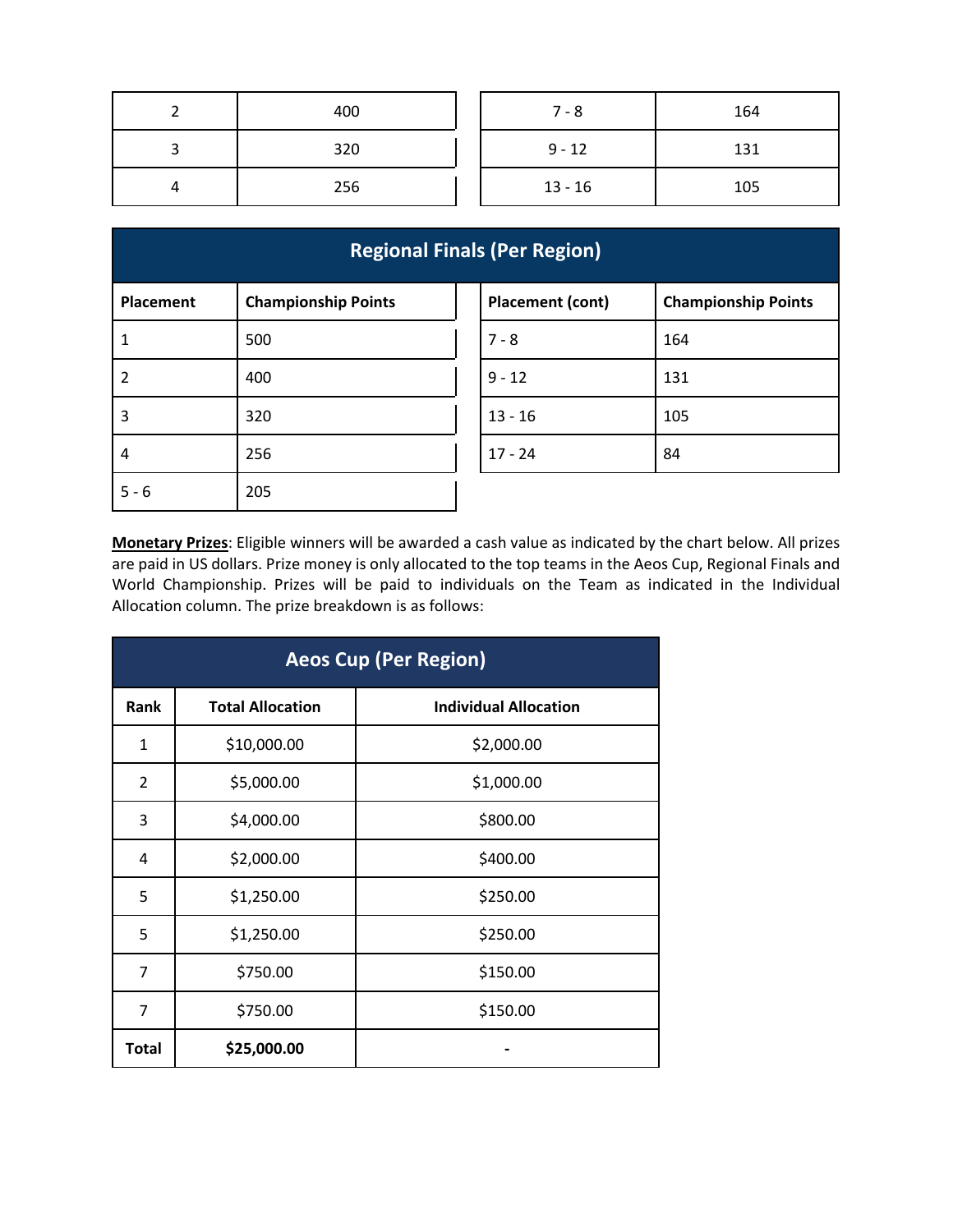|   | 400 | $7 - 8$   | 164 |
|---|-----|-----------|-----|
| ں | 320 | $9 - 12$  | 131 |
| 4 | 256 | $13 - 16$ | 105 |

| <b>Regional Finals (Per Region)</b> |                            |  |                         |                            |  |
|-------------------------------------|----------------------------|--|-------------------------|----------------------------|--|
| Placement                           | <b>Championship Points</b> |  | <b>Placement (cont)</b> | <b>Championship Points</b> |  |
| $\mathbf{1}$                        | 500                        |  | $7 - 8$                 | 164                        |  |
| $\overline{2}$                      | 400                        |  | $9 - 12$                | 131                        |  |
| $\overline{3}$                      | 320                        |  | $13 - 16$               | 105                        |  |
| 4                                   | 256                        |  | $17 - 24$               | 84                         |  |
| $5 - 6$                             | 205                        |  |                         |                            |  |

**Monetary Prizes**: Eligible winners will be awarded a cash value as indicated by the chart below. All prizes are paid in US dollars. Prize money is only allocated to the top teams in the Aeos Cup, Regional Finals and World Championship. Prizes will be paid to individuals on the Team as indicated in the Individual Allocation column. The prize breakdown is as follows:

| <b>Aeos Cup (Per Region)</b> |                         |                              |  |  |
|------------------------------|-------------------------|------------------------------|--|--|
| Rank                         | <b>Total Allocation</b> | <b>Individual Allocation</b> |  |  |
| $\mathbf{1}$                 | \$10,000.00             | \$2,000.00                   |  |  |
| $\overline{2}$               | \$5,000.00              | \$1,000.00                   |  |  |
| 3                            | \$4,000.00              | \$800.00                     |  |  |
| 4                            | \$2,000.00              | \$400.00                     |  |  |
| 5                            | \$1,250.00              | \$250.00                     |  |  |
| 5                            | \$1,250.00              | \$250.00                     |  |  |
| 7                            | \$750.00                | \$150.00                     |  |  |
| 7                            | \$750.00                | \$150.00                     |  |  |
| <b>Total</b>                 | \$25,000.00             |                              |  |  |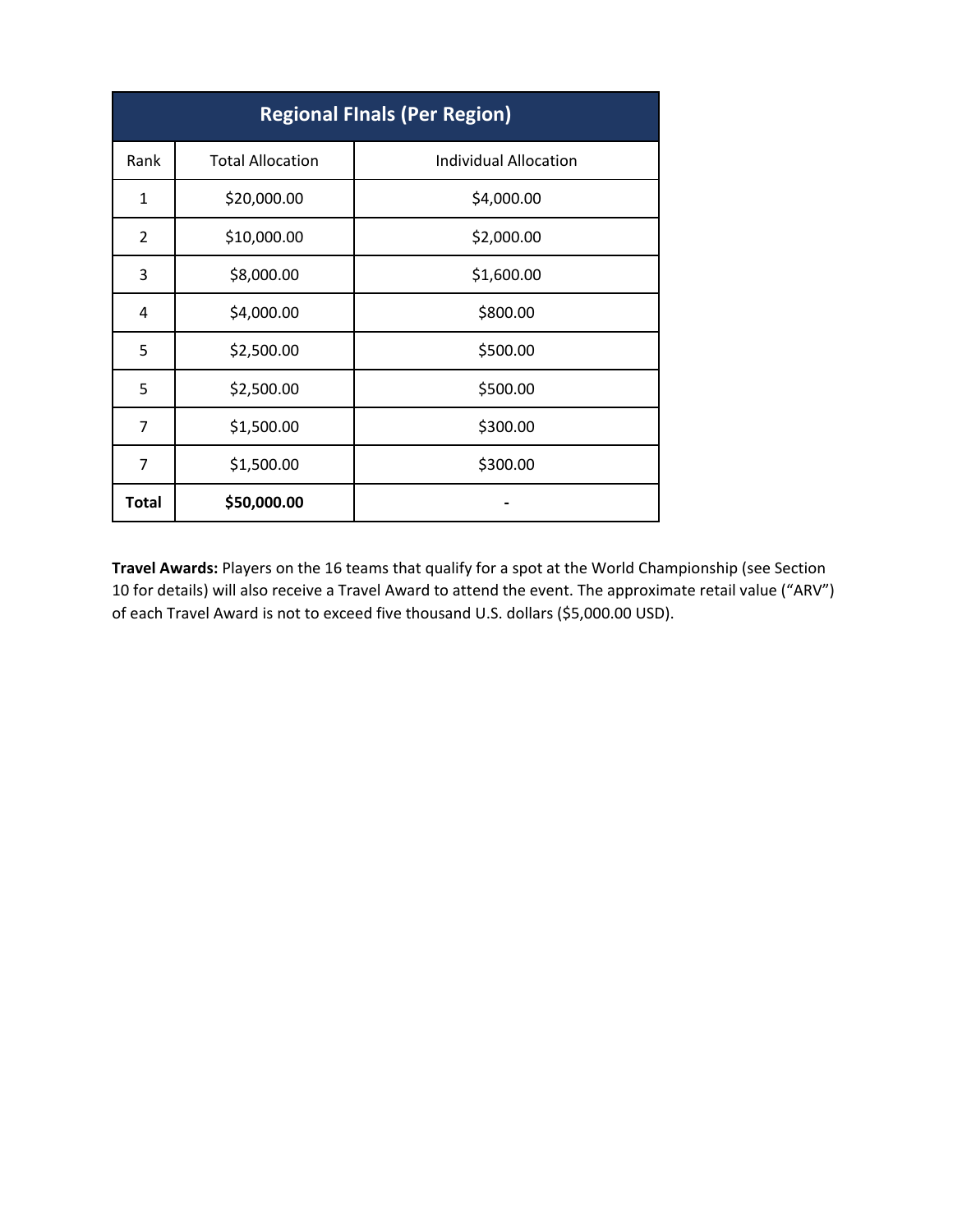| <b>Regional Finals (Per Region)</b> |                         |                              |
|-------------------------------------|-------------------------|------------------------------|
| Rank                                | <b>Total Allocation</b> | <b>Individual Allocation</b> |
| $\mathbf{1}$                        | \$20,000.00             | \$4,000.00                   |
| $\overline{2}$                      | \$10,000.00             | \$2,000.00                   |
| 3                                   | \$8,000.00              | \$1,600.00                   |
| 4                                   | \$4,000.00              | \$800.00                     |
| 5                                   | \$2,500.00              | \$500.00                     |
| 5                                   | \$2,500.00              | \$500.00                     |
| 7                                   | \$1,500.00              | \$300.00                     |
| 7                                   | \$1,500.00              | \$300.00                     |
| <b>Total</b>                        | \$50,000.00             |                              |

**Travel Awards:** Players on the 16 teams that qualify for a spot at the World Championship (see Section 10 for details) will also receive a Travel Award to attend the event. The approximate retail value ("ARV") of each Travel Award is not to exceed five thousand U.S. dollars (\$5,000.00 USD).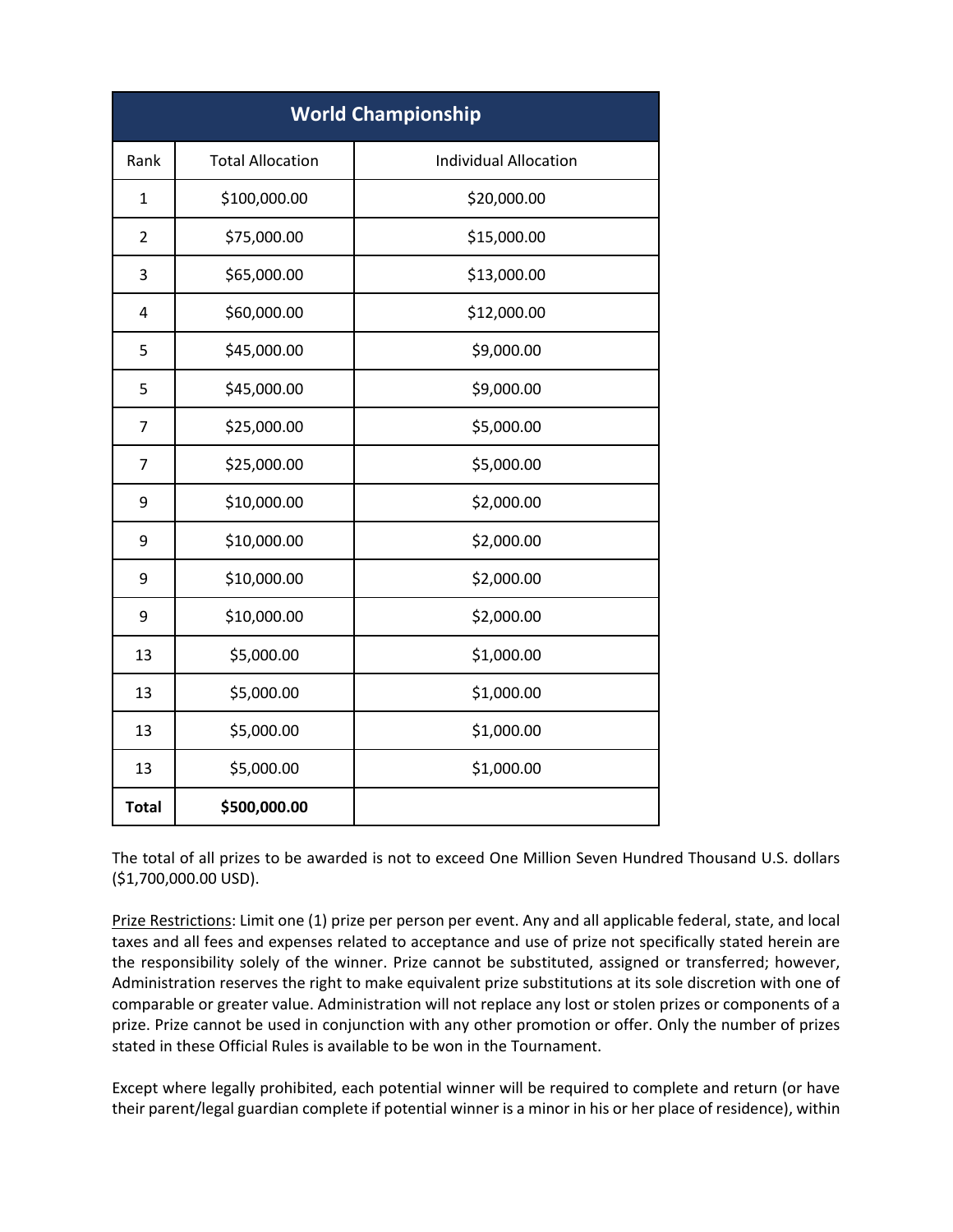| <b>World Championship</b> |                         |                              |
|---------------------------|-------------------------|------------------------------|
| Rank                      | <b>Total Allocation</b> | <b>Individual Allocation</b> |
| 1                         | \$100,000.00            | \$20,000.00                  |
| $\overline{2}$            | \$75,000.00             | \$15,000.00                  |
| 3                         | \$65,000.00             | \$13,000.00                  |
| 4                         | \$60,000.00             | \$12,000.00                  |
| 5                         | \$45,000.00             | \$9,000.00                   |
| 5                         | \$45,000.00             | \$9,000.00                   |
| $\overline{7}$            | \$25,000.00             | \$5,000.00                   |
| 7                         | \$25,000.00             | \$5,000.00                   |
| 9                         | \$10,000.00             | \$2,000.00                   |
| 9                         | \$10,000.00             | \$2,000.00                   |
| 9                         | \$10,000.00             | \$2,000.00                   |
| 9                         | \$10,000.00             | \$2,000.00                   |
| 13                        | \$5,000.00              | \$1,000.00                   |
| 13                        | \$5,000.00              | \$1,000.00                   |
| 13                        | \$5,000.00              | \$1,000.00                   |
| 13                        | \$5,000.00              | \$1,000.00                   |
| <b>Total</b>              | \$500,000.00            |                              |

The total of all prizes to be awarded is not to exceed One Million Seven Hundred Thousand U.S. dollars (\$1,700,000.00 USD).

Prize Restrictions: Limit one (1) prize per person per event. Any and all applicable federal, state, and local taxes and all fees and expenses related to acceptance and use of prize not specifically stated herein are the responsibility solely of the winner. Prize cannot be substituted, assigned or transferred; however, Administration reserves the right to make equivalent prize substitutions at its sole discretion with one of comparable or greater value. Administration will not replace any lost or stolen prizes or components of a prize. Prize cannot be used in conjunction with any other promotion or offer. Only the number of prizes stated in these Official Rules is available to be won in the Tournament.

Except where legally prohibited, each potential winner will be required to complete and return (or have their parent/legal guardian complete if potential winner is a minor in his or her place of residence), within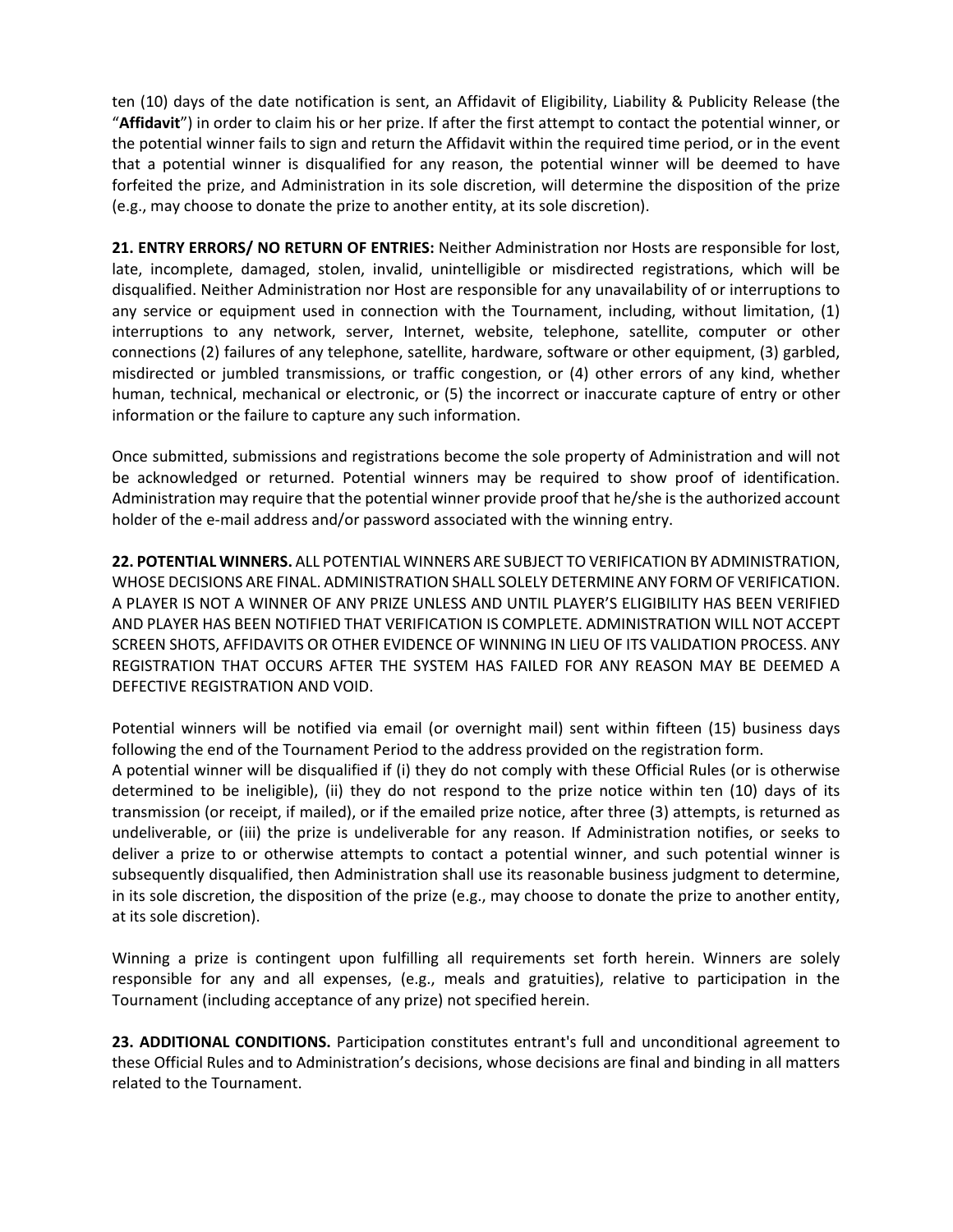ten (10) days of the date notification is sent, an Affidavit of Eligibility, Liability & Publicity Release (the "**Affidavit**") in order to claim his or her prize. If after the first attempt to contact the potential winner, or the potential winner fails to sign and return the Affidavit within the required time period, or in the event that a potential winner is disqualified for any reason, the potential winner will be deemed to have forfeited the prize, and Administration in its sole discretion, will determine the disposition of the prize (e.g., may choose to donate the prize to another entity, at its sole discretion).

**21. ENTRY ERRORS/ NO RETURN OF ENTRIES:** Neither Administration nor Hosts are responsible for lost, late, incomplete, damaged, stolen, invalid, unintelligible or misdirected registrations, which will be disqualified. Neither Administration nor Host are responsible for any unavailability of or interruptions to any service or equipment used in connection with the Tournament, including, without limitation, (1) interruptions to any network, server, Internet, website, telephone, satellite, computer or other connections (2) failures of any telephone, satellite, hardware, software or other equipment, (3) garbled, misdirected or jumbled transmissions, or traffic congestion, or (4) other errors of any kind, whether human, technical, mechanical or electronic, or (5) the incorrect or inaccurate capture of entry or other information or the failure to capture any such information.

Once submitted, submissions and registrations become the sole property of Administration and will not be acknowledged or returned. Potential winners may be required to show proof of identification. Administration may require that the potential winner provide proof that he/she is the authorized account holder of the e-mail address and/or password associated with the winning entry.

**22. POTENTIAL WINNERS.** ALL POTENTIAL WINNERS ARE SUBJECT TO VERIFICATION BY ADMINISTRATION, WHOSE DECISIONS ARE FINAL. ADMINISTRATION SHALL SOLELY DETERMINE ANY FORM OF VERIFICATION. A PLAYER IS NOT A WINNER OF ANY PRIZE UNLESS AND UNTIL PLAYER'S ELIGIBILITY HAS BEEN VERIFIED AND PLAYER HAS BEEN NOTIFIED THAT VERIFICATION IS COMPLETE. ADMINISTRATION WILL NOT ACCEPT SCREEN SHOTS, AFFIDAVITS OR OTHER EVIDENCE OF WINNING IN LIEU OF ITS VALIDATION PROCESS. ANY REGISTRATION THAT OCCURS AFTER THE SYSTEM HAS FAILED FOR ANY REASON MAY BE DEEMED A DEFECTIVE REGISTRATION AND VOID.

Potential winners will be notified via email (or overnight mail) sent within fifteen (15) business days following the end of the Tournament Period to the address provided on the registration form. A potential winner will be disqualified if (i) they do not comply with these Official Rules (or is otherwise determined to be ineligible), (ii) they do not respond to the prize notice within ten (10) days of its transmission (or receipt, if mailed), or if the emailed prize notice, after three (3) attempts, is returned as undeliverable, or (iii) the prize is undeliverable for any reason. If Administration notifies, or seeks to deliver a prize to or otherwise attempts to contact a potential winner, and such potential winner is subsequently disqualified, then Administration shall use its reasonable business judgment to determine, in its sole discretion, the disposition of the prize (e.g., may choose to donate the prize to another entity, at its sole discretion).

Winning a prize is contingent upon fulfilling all requirements set forth herein. Winners are solely responsible for any and all expenses, (e.g., meals and gratuities), relative to participation in the Tournament (including acceptance of any prize) not specified herein.

**23. ADDITIONAL CONDITIONS.** Participation constitutes entrant's full and unconditional agreement to these Official Rules and to Administration's decisions, whose decisions are final and binding in all matters related to the Tournament.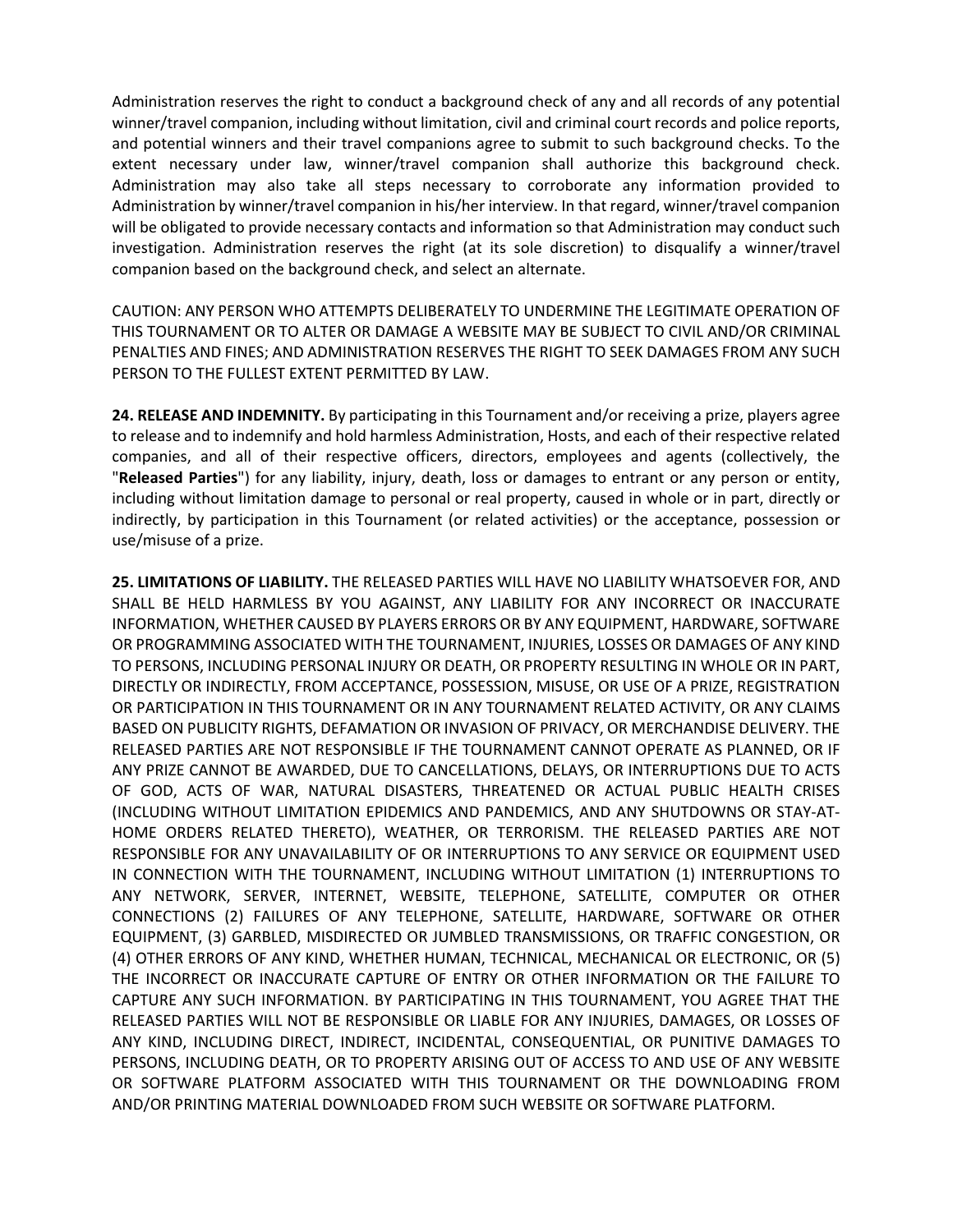Administration reserves the right to conduct a background check of any and all records of any potential winner/travel companion, including without limitation, civil and criminal court records and police reports, and potential winners and their travel companions agree to submit to such background checks. To the extent necessary under law, winner/travel companion shall authorize this background check. Administration may also take all steps necessary to corroborate any information provided to Administration by winner/travel companion in his/her interview. In that regard, winner/travel companion will be obligated to provide necessary contacts and information so that Administration may conduct such investigation. Administration reserves the right (at its sole discretion) to disqualify a winner/travel companion based on the background check, and select an alternate.

CAUTION: ANY PERSON WHO ATTEMPTS DELIBERATELY TO UNDERMINE THE LEGITIMATE OPERATION OF THIS TOURNAMENT OR TO ALTER OR DAMAGE A WEBSITE MAY BE SUBJECT TO CIVIL AND/OR CRIMINAL PENALTIES AND FINES; AND ADMINISTRATION RESERVES THE RIGHT TO SEEK DAMAGES FROM ANY SUCH PERSON TO THE FULLEST EXTENT PERMITTED BY LAW.

**24. RELEASE AND INDEMNITY.** By participating in this Tournament and/or receiving a prize, players agree to release and to indemnify and hold harmless Administration, Hosts, and each of their respective related companies, and all of their respective officers, directors, employees and agents (collectively, the "**Released Parties**") for any liability, injury, death, loss or damages to entrant or any person or entity, including without limitation damage to personal or real property, caused in whole or in part, directly or indirectly, by participation in this Tournament (or related activities) or the acceptance, possession or use/misuse of a prize.

**25. LIMITATIONS OF LIABILITY.** THE RELEASED PARTIES WILL HAVE NO LIABILITY WHATSOEVER FOR, AND SHALL BE HELD HARMLESS BY YOU AGAINST, ANY LIABILITY FOR ANY INCORRECT OR INACCURATE INFORMATION, WHETHER CAUSED BY PLAYERS ERRORS OR BY ANY EQUIPMENT, HARDWARE, SOFTWARE OR PROGRAMMING ASSOCIATED WITH THE TOURNAMENT, INJURIES, LOSSES OR DAMAGES OF ANY KIND TO PERSONS, INCLUDING PERSONAL INJURY OR DEATH, OR PROPERTY RESULTING IN WHOLE OR IN PART, DIRECTLY OR INDIRECTLY, FROM ACCEPTANCE, POSSESSION, MISUSE, OR USE OF A PRIZE, REGISTRATION OR PARTICIPATION IN THIS TOURNAMENT OR IN ANY TOURNAMENT RELATED ACTIVITY, OR ANY CLAIMS BASED ON PUBLICITY RIGHTS, DEFAMATION OR INVASION OF PRIVACY, OR MERCHANDISE DELIVERY. THE RELEASED PARTIES ARE NOT RESPONSIBLE IF THE TOURNAMENT CANNOT OPERATE AS PLANNED, OR IF ANY PRIZE CANNOT BE AWARDED, DUE TO CANCELLATIONS, DELAYS, OR INTERRUPTIONS DUE TO ACTS OF GOD, ACTS OF WAR, NATURAL DISASTERS, THREATENED OR ACTUAL PUBLIC HEALTH CRISES (INCLUDING WITHOUT LIMITATION EPIDEMICS AND PANDEMICS, AND ANY SHUTDOWNS OR STAY-AT-HOME ORDERS RELATED THERETO), WEATHER, OR TERRORISM. THE RELEASED PARTIES ARE NOT RESPONSIBLE FOR ANY UNAVAILABILITY OF OR INTERRUPTIONS TO ANY SERVICE OR EQUIPMENT USED IN CONNECTION WITH THE TOURNAMENT, INCLUDING WITHOUT LIMITATION (1) INTERRUPTIONS TO ANY NETWORK, SERVER, INTERNET, WEBSITE, TELEPHONE, SATELLITE, COMPUTER OR OTHER CONNECTIONS (2) FAILURES OF ANY TELEPHONE, SATELLITE, HARDWARE, SOFTWARE OR OTHER EQUIPMENT, (3) GARBLED, MISDIRECTED OR JUMBLED TRANSMISSIONS, OR TRAFFIC CONGESTION, OR (4) OTHER ERRORS OF ANY KIND, WHETHER HUMAN, TECHNICAL, MECHANICAL OR ELECTRONIC, OR (5) THE INCORRECT OR INACCURATE CAPTURE OF ENTRY OR OTHER INFORMATION OR THE FAILURE TO CAPTURE ANY SUCH INFORMATION. BY PARTICIPATING IN THIS TOURNAMENT, YOU AGREE THAT THE RELEASED PARTIES WILL NOT BE RESPONSIBLE OR LIABLE FOR ANY INJURIES, DAMAGES, OR LOSSES OF ANY KIND, INCLUDING DIRECT, INDIRECT, INCIDENTAL, CONSEQUENTIAL, OR PUNITIVE DAMAGES TO PERSONS, INCLUDING DEATH, OR TO PROPERTY ARISING OUT OF ACCESS TO AND USE OF ANY WEBSITE OR SOFTWARE PLATFORM ASSOCIATED WITH THIS TOURNAMENT OR THE DOWNLOADING FROM AND/OR PRINTING MATERIAL DOWNLOADED FROM SUCH WEBSITE OR SOFTWARE PLATFORM.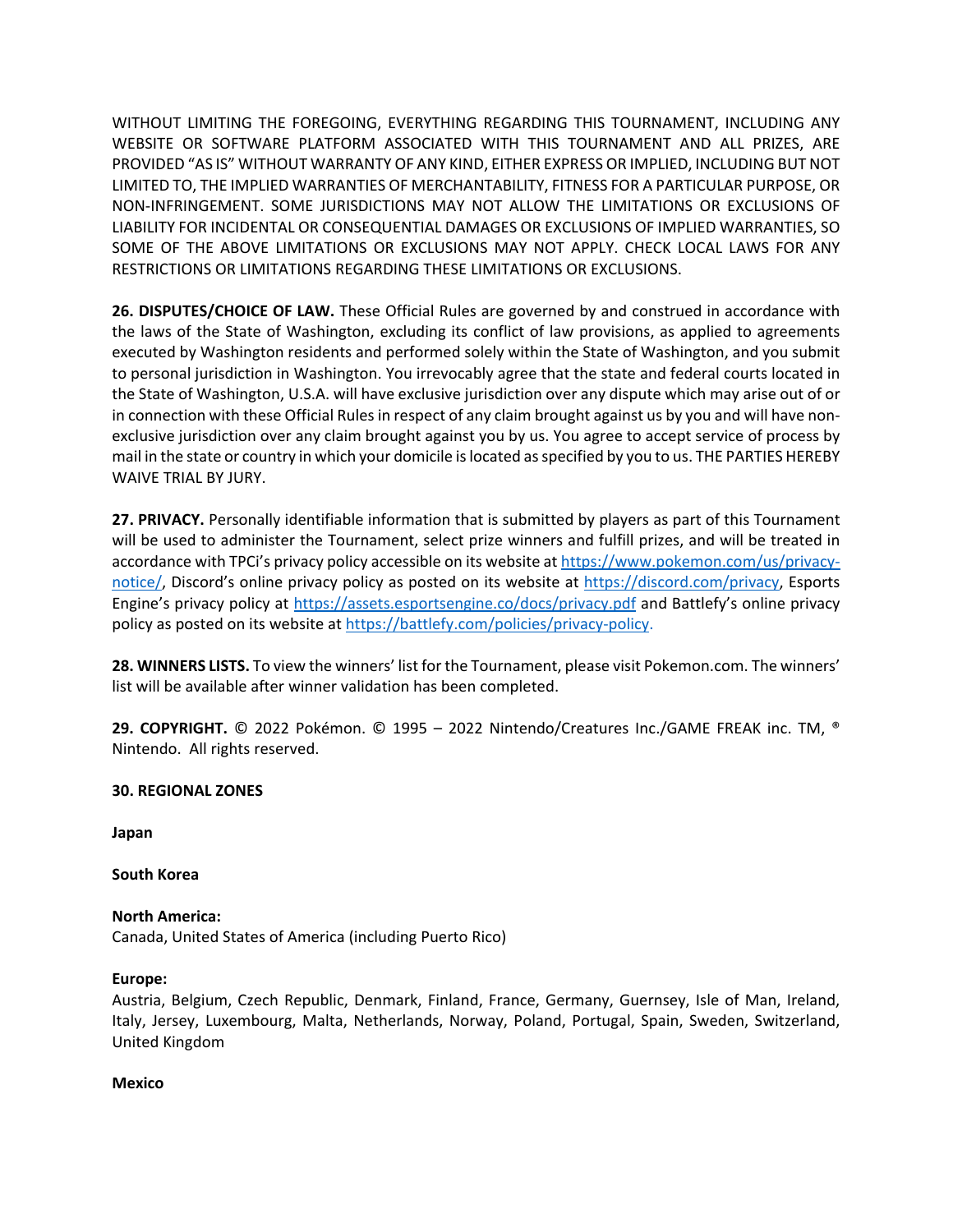WITHOUT LIMITING THE FOREGOING, EVERYTHING REGARDING THIS TOURNAMENT, INCLUDING ANY WEBSITE OR SOFTWARE PLATFORM ASSOCIATED WITH THIS TOURNAMENT AND ALL PRIZES, ARE PROVIDED "AS IS" WITHOUT WARRANTY OF ANY KIND, EITHER EXPRESS OR IMPLIED, INCLUDING BUT NOT LIMITED TO, THE IMPLIED WARRANTIES OF MERCHANTABILITY, FITNESS FOR A PARTICULAR PURPOSE, OR NON-INFRINGEMENT. SOME JURISDICTIONS MAY NOT ALLOW THE LIMITATIONS OR EXCLUSIONS OF LIABILITY FOR INCIDENTAL OR CONSEQUENTIAL DAMAGES OR EXCLUSIONS OF IMPLIED WARRANTIES, SO SOME OF THE ABOVE LIMITATIONS OR EXCLUSIONS MAY NOT APPLY. CHECK LOCAL LAWS FOR ANY RESTRICTIONS OR LIMITATIONS REGARDING THESE LIMITATIONS OR EXCLUSIONS.

**26. DISPUTES/CHOICE OF LAW.** These Official Rules are governed by and construed in accordance with the laws of the State of Washington, excluding its conflict of law provisions, as applied to agreements executed by Washington residents and performed solely within the State of Washington, and you submit to personal jurisdiction in Washington. You irrevocably agree that the state and federal courts located in the State of Washington, U.S.A. will have exclusive jurisdiction over any dispute which may arise out of or in connection with these Official Rules in respect of any claim brought against us by you and will have nonexclusive jurisdiction over any claim brought against you by us. You agree to accept service of process by mail in the state or country in which your domicile is located as specified by you to us. THE PARTIES HEREBY WAIVE TRIAL BY JURY.

**27. PRIVACY.** Personally identifiable information that is submitted by players as part of this Tournament will be used to administer the Tournament, select prize winners and fulfill prizes, and will be treated in accordance with TPCi's privacy policy accessible on its website a[t https://www.pokemon.com/us/privacy](https://www.pokemon.com/us/privacy-notice/)[notice/,](https://www.pokemon.com/us/privacy-notice/) Discord's online privacy policy as posted on its website at [https://discord.com/privacy,](https://discord.com/privacy) Esports Engine's privacy policy at [https://assets.esportsengine.co/docs/privacy.pdf](https://protect-us.mimecast.com/s/y576CgJxVJSPX7nKCNFds7?domain=assets.esportsengine.co) and Battlefy's online privacy policy as posted on its website at [https://battlefy.com/policies/privacy-policy.](https://battlefy.com/policies/privacy-policy)

**28. WINNERS LISTS.** To view the winners' list for the Tournament, please visit Pokemon.com. The winners' list will be available after winner validation has been completed.

**29. COPYRIGHT.** © 2022 Pokémon. © 1995 – 2022 Nintendo/Creatures Inc./GAME FREAK inc. TM, ® Nintendo. All rights reserved.

### **30. REGIONAL ZONES**

**Japan**

#### **South Korea**

# **North America:**

Canada, United States of America (including Puerto Rico)

#### **Europe:**

Austria, Belgium, Czech Republic, Denmark, Finland, France, Germany, Guernsey, Isle of Man, Ireland, Italy, Jersey, Luxembourg, Malta, Netherlands, Norway, Poland, Portugal, Spain, Sweden, Switzerland, United Kingdom

#### **Mexico**